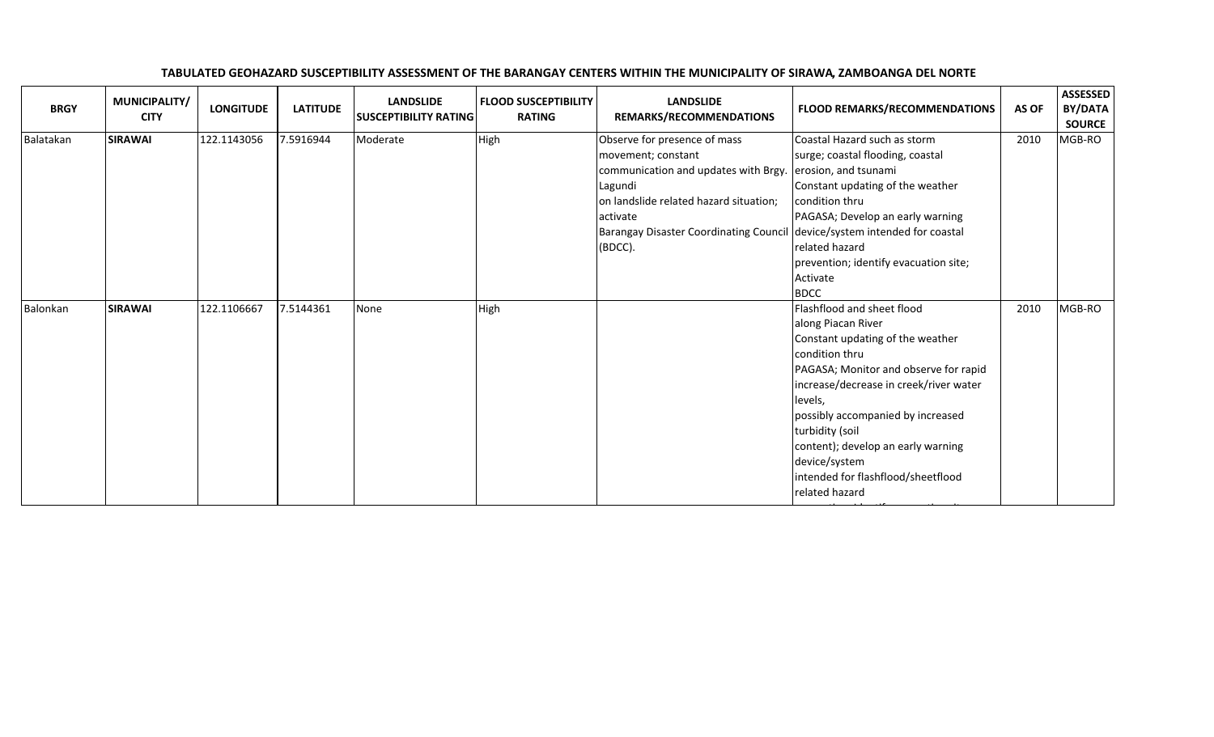| <b>BRGY</b> | MUNICIPALITY/<br><b>CITY</b> | <b>LONGITUDE</b> | <b>LATITUDE</b> | <b>LANDSLIDE</b><br><b>SUSCEPTIBILITY RATING</b> | <b>FLOOD SUSCEPTIBILITY</b><br><b>RATING</b> | <b>LANDSLIDE</b><br>REMARKS/RECOMMENDATIONS                                                                                                                                                                      | <b>FLOOD REMARKS/RECOMMENDATIONS</b>                                                                                                                                                                                                                                                                                                                                        | AS OF | <b>ASSESSED</b><br><b>BY/DATA</b><br><b>SOURCE</b> |
|-------------|------------------------------|------------------|-----------------|--------------------------------------------------|----------------------------------------------|------------------------------------------------------------------------------------------------------------------------------------------------------------------------------------------------------------------|-----------------------------------------------------------------------------------------------------------------------------------------------------------------------------------------------------------------------------------------------------------------------------------------------------------------------------------------------------------------------------|-------|----------------------------------------------------|
| Balatakan   | <b>SIRAWAI</b>               | 122.1143056      | 7.5916944       | Moderate                                         | High                                         | Observe for presence of mass<br>movement; constant<br>communication and updates with Brgy.<br>Lagundi<br>on landslide related hazard situation;<br>activate<br>Barangay Disaster Coordinating Council<br>(BDCC). | Coastal Hazard such as storm<br>surge; coastal flooding, coastal<br>erosion, and tsunami<br>Constant updating of the weather<br>condition thru<br>PAGASA; Develop an early warning<br>device/system intended for coastal<br>related hazard<br>prevention; identify evacuation site;<br>Activate<br><b>BDCC</b>                                                              | 2010  | MGB-RO                                             |
| Balonkan    | <b>SIRAWAI</b>               | 122.1106667      | 7.5144361       | None                                             | High                                         |                                                                                                                                                                                                                  | Flashflood and sheet flood<br>along Piacan River<br>Constant updating of the weather<br>condition thru<br>PAGASA; Monitor and observe for rapid<br>increase/decrease in creek/river water<br>levels.<br>possibly accompanied by increased<br>turbidity (soil<br>content); develop an early warning<br>device/system<br>intended for flashflood/sheetflood<br>related hazard | 2010  | MGB-RO                                             |

## TABULATED GEOHAZARD SUSCEPTIBILITY ASSESSMENT OF THE BARANGAY CENTERS WITHIN THE MUNICIPALITY OF SIRAWA, ZAMBOANGA DEL NORTE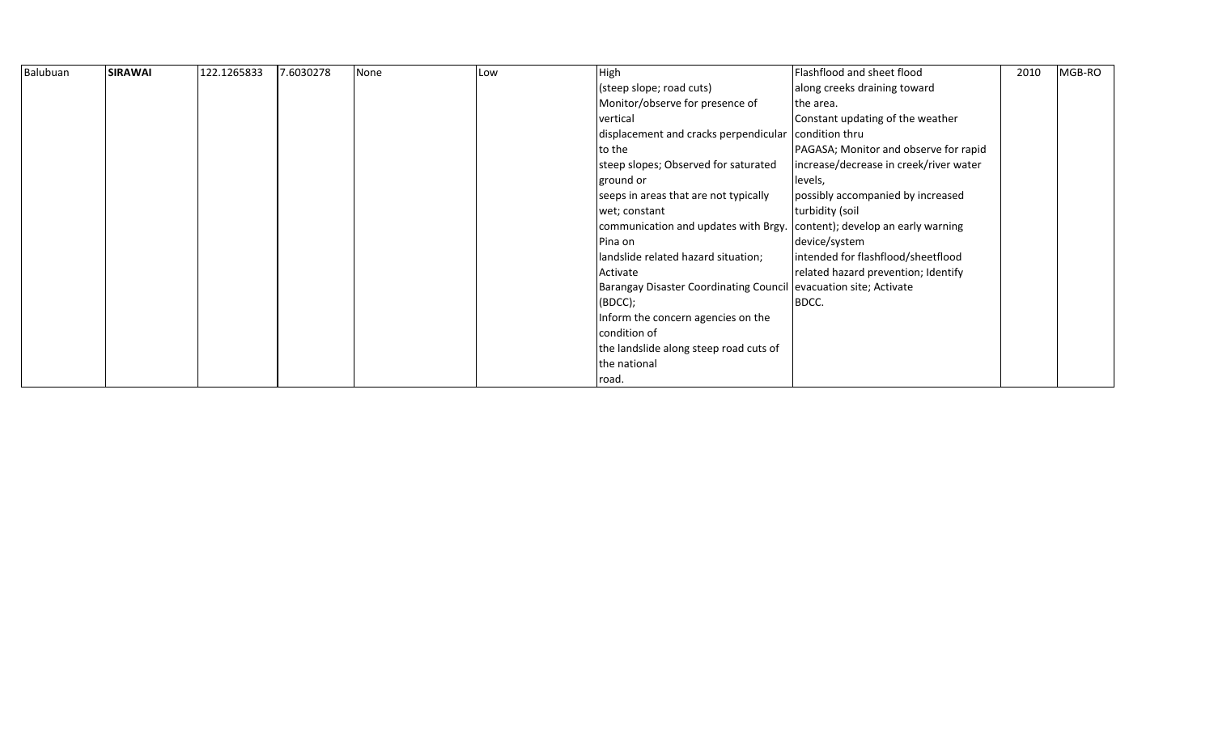| Balubuan | <b>SIRAWAI</b> | 122.1265833 | 7.6030278 | None | Low | High                                                                    | Flashflood and sheet flood             | 2010 | MGB-RO |
|----------|----------------|-------------|-----------|------|-----|-------------------------------------------------------------------------|----------------------------------------|------|--------|
|          |                |             |           |      |     | (steep slope; road cuts)                                                | along creeks draining toward           |      |        |
|          |                |             |           |      |     | Monitor/observe for presence of                                         | the area.                              |      |        |
|          |                |             |           |      |     | vertical                                                                | Constant updating of the weather       |      |        |
|          |                |             |           |      |     | displacement and cracks perpendicular condition thru                    |                                        |      |        |
|          |                |             |           |      |     | to the                                                                  | PAGASA; Monitor and observe for rapid  |      |        |
|          |                |             |           |      |     | steep slopes; Observed for saturated                                    | increase/decrease in creek/river water |      |        |
|          |                |             |           |      |     | ground or                                                               | levels,                                |      |        |
|          |                |             |           |      |     | seeps in areas that are not typically                                   | possibly accompanied by increased      |      |        |
|          |                |             |           |      |     | wet; constant                                                           | turbidity (soil                        |      |        |
|          |                |             |           |      |     | communication and updates with Brgy. content); develop an early warning |                                        |      |        |
|          |                |             |           |      |     | Pina on                                                                 | device/system                          |      |        |
|          |                |             |           |      |     | landslide related hazard situation;                                     | intended for flashflood/sheetflood     |      |        |
|          |                |             |           |      |     | Activate                                                                | related hazard prevention; Identify    |      |        |
|          |                |             |           |      |     | Barangay Disaster Coordinating Council evacuation site; Activate        |                                        |      |        |
|          |                |             |           |      |     | (BDCC);                                                                 | BDCC.                                  |      |        |
|          |                |             |           |      |     | Inform the concern agencies on the                                      |                                        |      |        |
|          |                |             |           |      |     | condition of                                                            |                                        |      |        |
|          |                |             |           |      |     | the landslide along steep road cuts of                                  |                                        |      |        |
|          |                |             |           |      |     | the national                                                            |                                        |      |        |
|          |                |             |           |      |     | road.                                                                   |                                        |      |        |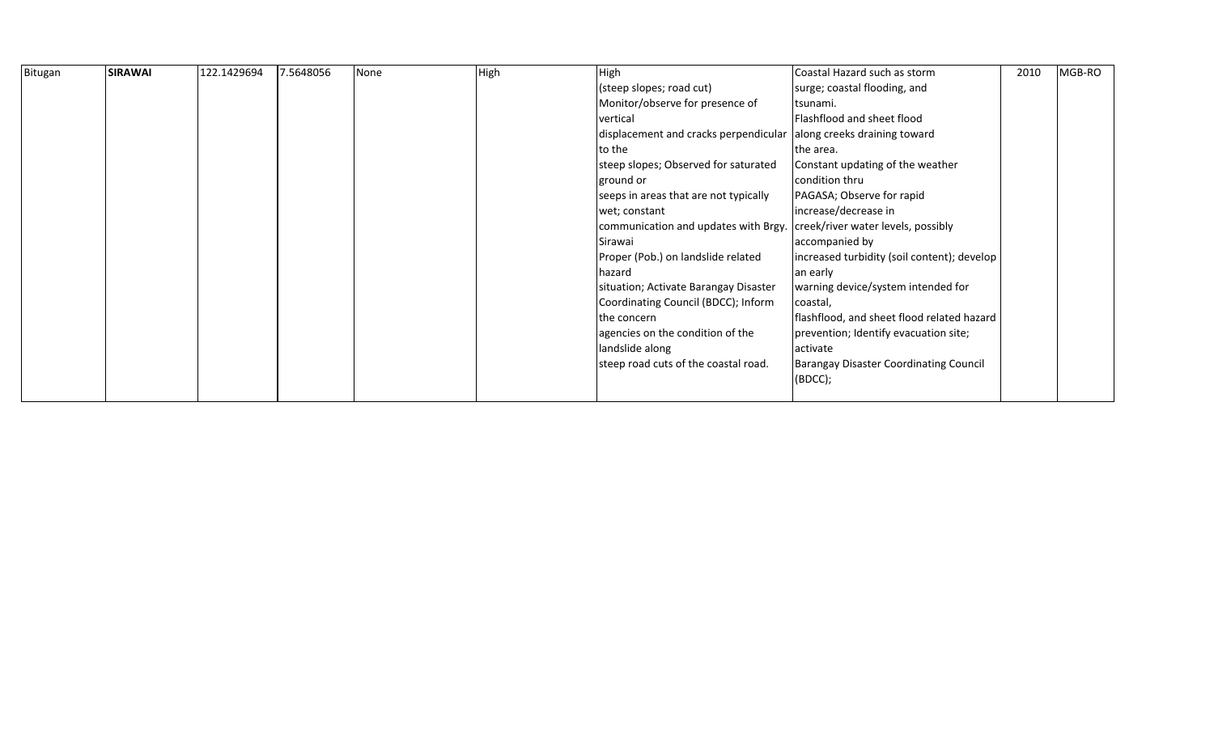| Bitugan | <b>SIRAWAI</b> | 122.1429694 | 7.5648056 | None | High | High                                                               | Coastal Hazard such as storm                  | 2010 | MGB-RO |
|---------|----------------|-------------|-----------|------|------|--------------------------------------------------------------------|-----------------------------------------------|------|--------|
|         |                |             |           |      |      | (steep slopes; road cut)                                           | surge; coastal flooding, and                  |      |        |
|         |                |             |           |      |      | Monitor/observe for presence of                                    | tsunami.                                      |      |        |
|         |                |             |           |      |      | vertical                                                           | Flashflood and sheet flood                    |      |        |
|         |                |             |           |      |      | displacement and cracks perpendicular along creeks draining toward |                                               |      |        |
|         |                |             |           |      |      | to the                                                             | the area.                                     |      |        |
|         |                |             |           |      |      | steep slopes; Observed for saturated                               | Constant updating of the weather              |      |        |
|         |                |             |           |      |      | ground or                                                          | condition thru                                |      |        |
|         |                |             |           |      |      | seeps in areas that are not typically                              | PAGASA; Observe for rapid                     |      |        |
|         |                |             |           |      |      | wet; constant                                                      | increase/decrease in                          |      |        |
|         |                |             |           |      |      | communication and updates with Brgy.                               | creek/river water levels, possibly            |      |        |
|         |                |             |           |      |      | Sirawai                                                            | accompanied by                                |      |        |
|         |                |             |           |      |      | Proper (Pob.) on landslide related                                 | increased turbidity (soil content); develop   |      |        |
|         |                |             |           |      |      | hazard                                                             | an early                                      |      |        |
|         |                |             |           |      |      | situation; Activate Barangay Disaster                              | warning device/system intended for            |      |        |
|         |                |             |           |      |      | Coordinating Council (BDCC); Inform                                | coastal,                                      |      |        |
|         |                |             |           |      |      | the concern                                                        | flashflood, and sheet flood related hazard    |      |        |
|         |                |             |           |      |      | agencies on the condition of the                                   | prevention; Identify evacuation site;         |      |        |
|         |                |             |           |      |      | landslide along                                                    | activate                                      |      |        |
|         |                |             |           |      |      | steep road cuts of the coastal road.                               | <b>Barangay Disaster Coordinating Council</b> |      |        |
|         |                |             |           |      |      |                                                                    | (BOCC);                                       |      |        |
|         |                |             |           |      |      |                                                                    |                                               |      |        |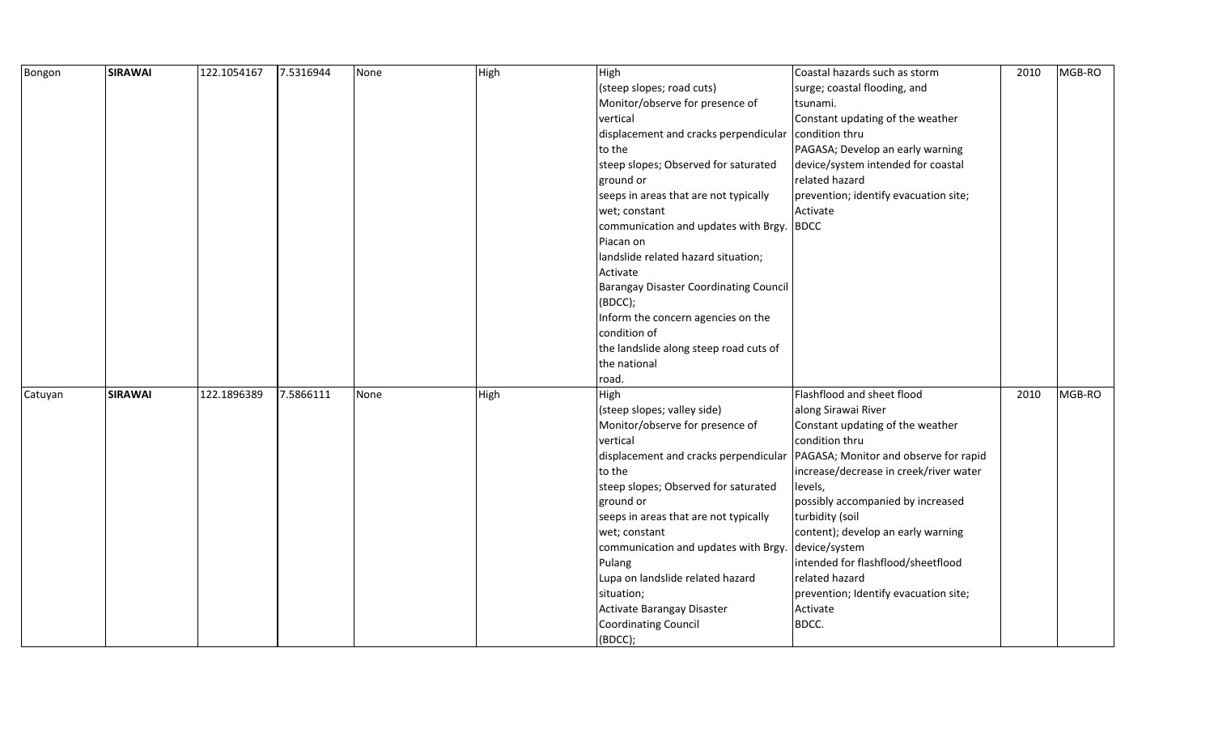| Bongon  | <b>SIRAWAI</b> | 122.1054167 | 7.5316944 | None | High | High                                          | Coastal hazards such as storm          | 2010 | MGB-RO |
|---------|----------------|-------------|-----------|------|------|-----------------------------------------------|----------------------------------------|------|--------|
|         |                |             |           |      |      | (steep slopes; road cuts)                     | surge; coastal flooding, and           |      |        |
|         |                |             |           |      |      | Monitor/observe for presence of               | tsunami.                               |      |        |
|         |                |             |           |      |      | vertical                                      | Constant updating of the weather       |      |        |
|         |                |             |           |      |      | displacement and cracks perpendicular         | condition thru                         |      |        |
|         |                |             |           |      |      | to the                                        | PAGASA; Develop an early warning       |      |        |
|         |                |             |           |      |      | steep slopes; Observed for saturated          | device/system intended for coastal     |      |        |
|         |                |             |           |      |      | ground or                                     | related hazard                         |      |        |
|         |                |             |           |      |      | seeps in areas that are not typically         | prevention; identify evacuation site;  |      |        |
|         |                |             |           |      |      | wet; constant                                 | Activate                               |      |        |
|         |                |             |           |      |      | communication and updates with Brgy.          | <b>BDCC</b>                            |      |        |
|         |                |             |           |      |      | Piacan on                                     |                                        |      |        |
|         |                |             |           |      |      | landslide related hazard situation;           |                                        |      |        |
|         |                |             |           |      |      | Activate                                      |                                        |      |        |
|         |                |             |           |      |      | <b>Barangay Disaster Coordinating Council</b> |                                        |      |        |
|         |                |             |           |      |      | (BDCC);                                       |                                        |      |        |
|         |                |             |           |      |      | Inform the concern agencies on the            |                                        |      |        |
|         |                |             |           |      |      | condition of                                  |                                        |      |        |
|         |                |             |           |      |      | the landslide along steep road cuts of        |                                        |      |        |
|         |                |             |           |      |      | the national                                  |                                        |      |        |
|         |                |             |           |      |      | road.                                         |                                        |      |        |
| Catuyan | <b>SIRAWAI</b> | 122.1896389 | 7.5866111 | None | High | High                                          | Flashflood and sheet flood             | 2010 | MGB-RO |
|         |                |             |           |      |      | (steep slopes; valley side)                   | along Sirawai River                    |      |        |
|         |                |             |           |      |      | Monitor/observe for presence of               | Constant updating of the weather       |      |        |
|         |                |             |           |      |      | vertical                                      | condition thru                         |      |        |
|         |                |             |           |      |      | displacement and cracks perpendicular         | PAGASA; Monitor and observe for rapid  |      |        |
|         |                |             |           |      |      | to the                                        | increase/decrease in creek/river water |      |        |
|         |                |             |           |      |      | steep slopes; Observed for saturated          | levels,                                |      |        |
|         |                |             |           |      |      | ground or                                     | possibly accompanied by increased      |      |        |
|         |                |             |           |      |      | seeps in areas that are not typically         | turbidity (soil                        |      |        |
|         |                |             |           |      |      | wet; constant                                 | content); develop an early warning     |      |        |
|         |                |             |           |      |      | communication and updates with Brgy.          | device/system                          |      |        |
|         |                |             |           |      |      | Pulang                                        | intended for flashflood/sheetflood     |      |        |
|         |                |             |           |      |      | Lupa on landslide related hazard              | related hazard                         |      |        |
|         |                |             |           |      |      | situation;                                    | prevention; Identify evacuation site;  |      |        |
|         |                |             |           |      |      | Activate Barangay Disaster                    | Activate                               |      |        |
|         |                |             |           |      |      | <b>Coordinating Council</b>                   | BDCC.                                  |      |        |
|         |                |             |           |      |      | (BDCC);                                       |                                        |      |        |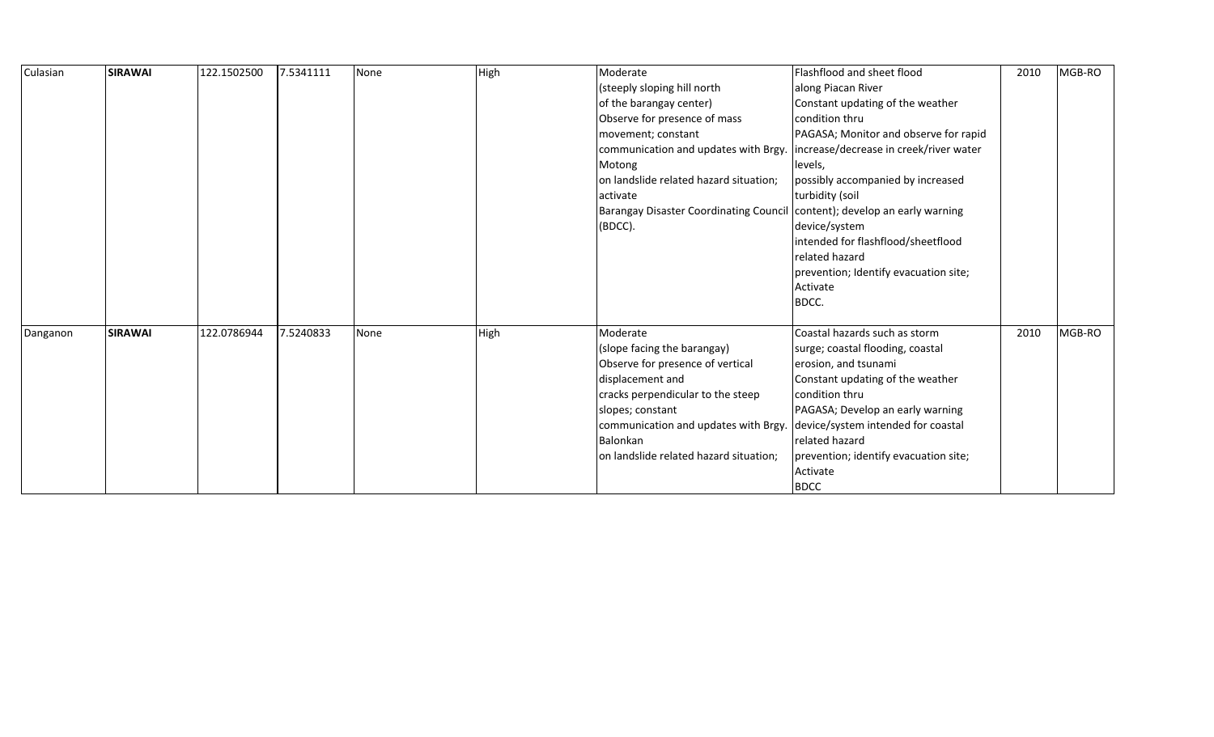| Culasian | <b>SIRAWAI</b> | 122.1502500 | 7.5341111 | None | High | Moderate<br>(steeply sloping hill north<br>of the barangay center)<br>Observe for presence of mass<br>movement; constant<br>communication and updates with Brgy.<br>Motong<br>on landslide related hazard situation;<br>activate<br><b>Barangay Disaster Coordinating Council</b><br>(BDCC). | Flashflood and sheet flood<br>along Piacan River<br>Constant updating of the weather<br>condition thru<br>PAGASA; Monitor and observe for rapid<br>increase/decrease in creek/river water<br>levels,<br>possibly accompanied by increased<br>turbidity (soil<br>content); develop an early warning<br>device/system<br>intended for flashflood/sheetflood<br>related hazard<br>prevention; Identify evacuation site;<br>Activate | 2010 | MGB-RO |
|----------|----------------|-------------|-----------|------|------|----------------------------------------------------------------------------------------------------------------------------------------------------------------------------------------------------------------------------------------------------------------------------------------------|----------------------------------------------------------------------------------------------------------------------------------------------------------------------------------------------------------------------------------------------------------------------------------------------------------------------------------------------------------------------------------------------------------------------------------|------|--------|
| Danganon | <b>SIRAWAI</b> | 122.0786944 | 7.5240833 | None | High | Moderate<br>(slope facing the barangay)<br>Observe for presence of vertical<br>displacement and<br>cracks perpendicular to the steep<br>slopes; constant<br>communication and updates with Brgy.<br>Balonkan<br>on landslide related hazard situation;                                       | BDCC.<br>Coastal hazards such as storm<br>surge; coastal flooding, coastal<br>erosion, and tsunami<br>Constant updating of the weather<br>condition thru<br>PAGASA; Develop an early warning<br>device/system intended for coastal<br>related hazard<br>prevention; identify evacuation site;<br>Activate<br><b>BDCC</b>                                                                                                         | 2010 | MGB-RO |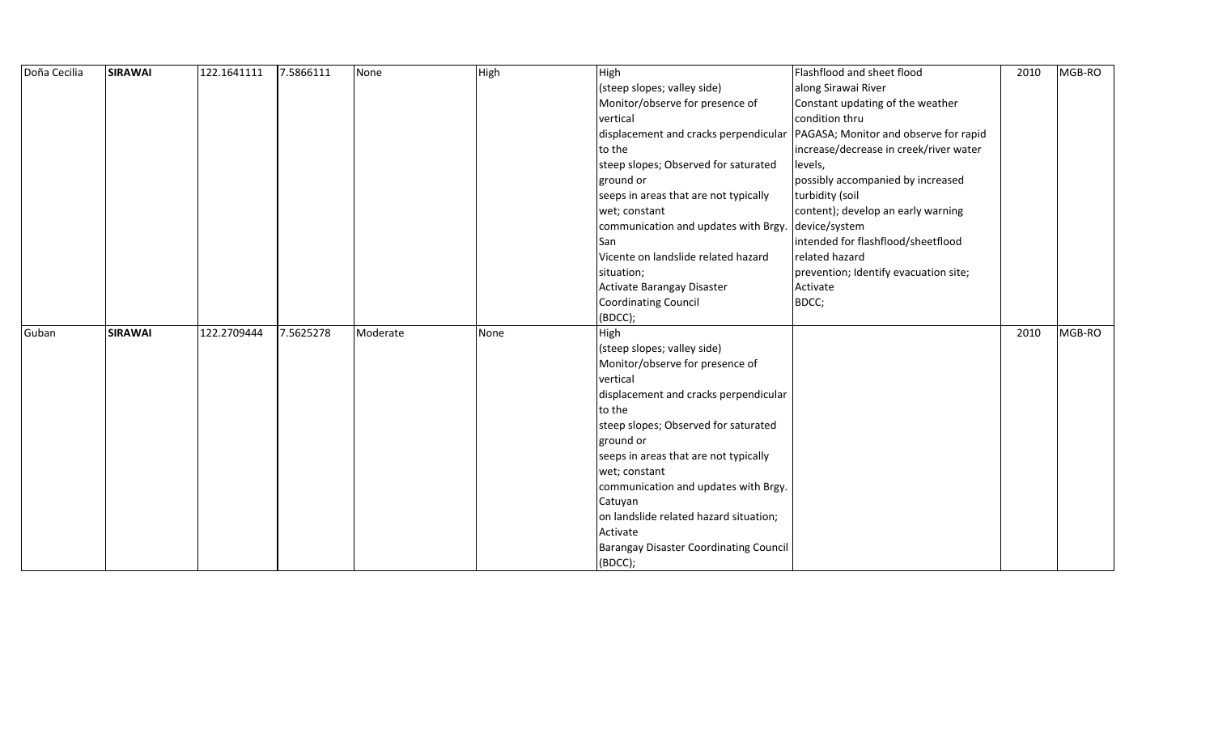| Doña Cecilia | <b>SIRAWAI</b> | 122.1641111 | 7.5866111 | None     | High | High                                               | Flashflood and sheet flood                                                    | 2010 | MGB-RO |
|--------------|----------------|-------------|-----------|----------|------|----------------------------------------------------|-------------------------------------------------------------------------------|------|--------|
|              |                |             |           |          |      | (steep slopes; valley side)                        | along Sirawai River                                                           |      |        |
|              |                |             |           |          |      | Monitor/observe for presence of                    | Constant updating of the weather                                              |      |        |
|              |                |             |           |          |      | vertical                                           | condition thru                                                                |      |        |
|              |                |             |           |          |      |                                                    | displacement and cracks perpendicular   PAGASA; Monitor and observe for rapid |      |        |
|              |                |             |           |          |      | to the                                             | increase/decrease in creek/river water                                        |      |        |
|              |                |             |           |          |      | steep slopes; Observed for saturated               | levels,                                                                       |      |        |
|              |                |             |           |          |      | ground or                                          | possibly accompanied by increased                                             |      |        |
|              |                |             |           |          |      | seeps in areas that are not typically              | turbidity (soil                                                               |      |        |
|              |                |             |           |          |      | wet; constant                                      | content); develop an early warning                                            |      |        |
|              |                |             |           |          |      | communication and updates with Brgy. device/system |                                                                               |      |        |
|              |                |             |           |          |      | San                                                | intended for flashflood/sheetflood                                            |      |        |
|              |                |             |           |          |      | Vicente on landslide related hazard                | related hazard                                                                |      |        |
|              |                |             |           |          |      | situation;                                         | prevention; Identify evacuation site;                                         |      |        |
|              |                |             |           |          |      | Activate Barangay Disaster                         | Activate                                                                      |      |        |
|              |                |             |           |          |      | <b>Coordinating Council</b>                        | BDCC;                                                                         |      |        |
|              |                |             |           |          |      | (BDCC);                                            |                                                                               |      |        |
| Guban        | <b>SIRAWAI</b> | 122.2709444 | 7.5625278 | Moderate | None | High                                               |                                                                               | 2010 | MGB-RO |
|              |                |             |           |          |      | (steep slopes; valley side)                        |                                                                               |      |        |
|              |                |             |           |          |      | Monitor/observe for presence of                    |                                                                               |      |        |
|              |                |             |           |          |      | vertical                                           |                                                                               |      |        |
|              |                |             |           |          |      | displacement and cracks perpendicular              |                                                                               |      |        |
|              |                |             |           |          |      | to the                                             |                                                                               |      |        |
|              |                |             |           |          |      | steep slopes; Observed for saturated               |                                                                               |      |        |
|              |                |             |           |          |      | ground or                                          |                                                                               |      |        |
|              |                |             |           |          |      | seeps in areas that are not typically              |                                                                               |      |        |
|              |                |             |           |          |      | wet; constant                                      |                                                                               |      |        |
|              |                |             |           |          |      | communication and updates with Brgy.               |                                                                               |      |        |
|              |                |             |           |          |      | Catuyan                                            |                                                                               |      |        |
|              |                |             |           |          |      | on landslide related hazard situation;             |                                                                               |      |        |
|              |                |             |           |          |      | Activate                                           |                                                                               |      |        |
|              |                |             |           |          |      | <b>Barangay Disaster Coordinating Council</b>      |                                                                               |      |        |
|              |                |             |           |          |      | (BDCC);                                            |                                                                               |      |        |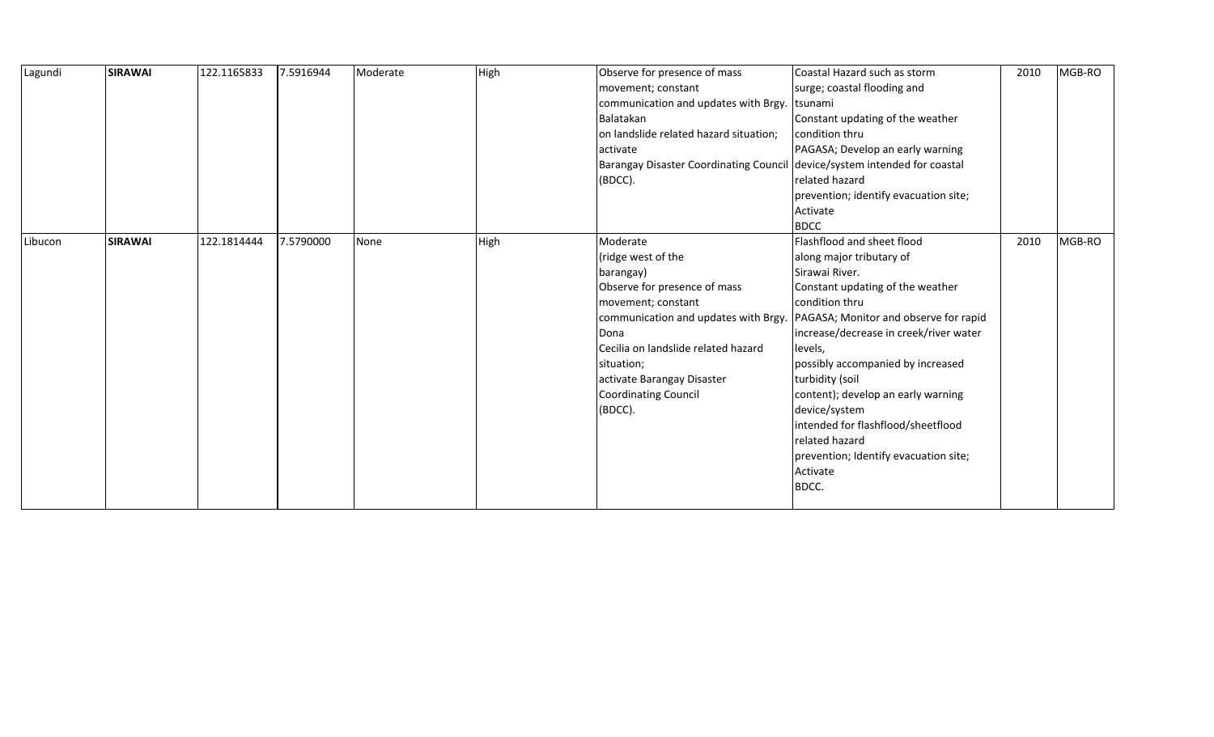| Lagundi | <b>SIRAWAI</b> | 122.1165833 | 7.5916944 | Moderate | High | Observe for presence of mass<br>movement; constant<br>communication and updates with Brgy.<br>Balatakan<br>on landslide related hazard situation;<br>lactivate<br>Barangay Disaster Coordinating Council device/system intended for coastal<br>(BDCC).                  | Coastal Hazard such as storm<br>surge; coastal flooding and<br>tsunami<br>Constant updating of the weather<br>condition thru<br>PAGASA; Develop an early warning<br>related hazard<br>prevention; identify evacuation site;                                                                                                                                                                                                                                       | 2010 | MGB-RO |
|---------|----------------|-------------|-----------|----------|------|-------------------------------------------------------------------------------------------------------------------------------------------------------------------------------------------------------------------------------------------------------------------------|-------------------------------------------------------------------------------------------------------------------------------------------------------------------------------------------------------------------------------------------------------------------------------------------------------------------------------------------------------------------------------------------------------------------------------------------------------------------|------|--------|
|         |                |             |           |          |      |                                                                                                                                                                                                                                                                         | Activate<br><b>BDCC</b>                                                                                                                                                                                                                                                                                                                                                                                                                                           |      |        |
| Libucon | <b>SIRAWAI</b> | 122.1814444 | 7.5790000 | None     | High | Moderate<br>(ridge west of the<br>barangay)<br>Observe for presence of mass<br>movement; constant<br>communication and updates with Brgy.<br>Dona<br>Cecilia on landslide related hazard<br>situation;<br>activate Barangay Disaster<br>Coordinating Council<br>(BDCC). | Flashflood and sheet flood<br>along major tributary of<br>Sirawai River.<br>Constant updating of the weather<br>condition thru<br>PAGASA; Monitor and observe for rapid<br>increase/decrease in creek/river water<br>levels,<br>possibly accompanied by increased<br>turbidity (soil<br>content); develop an early warning<br>device/system<br>intended for flashflood/sheetflood<br>related hazard<br>prevention; Identify evacuation site;<br>Activate<br>BDCC. | 2010 | MGB-RO |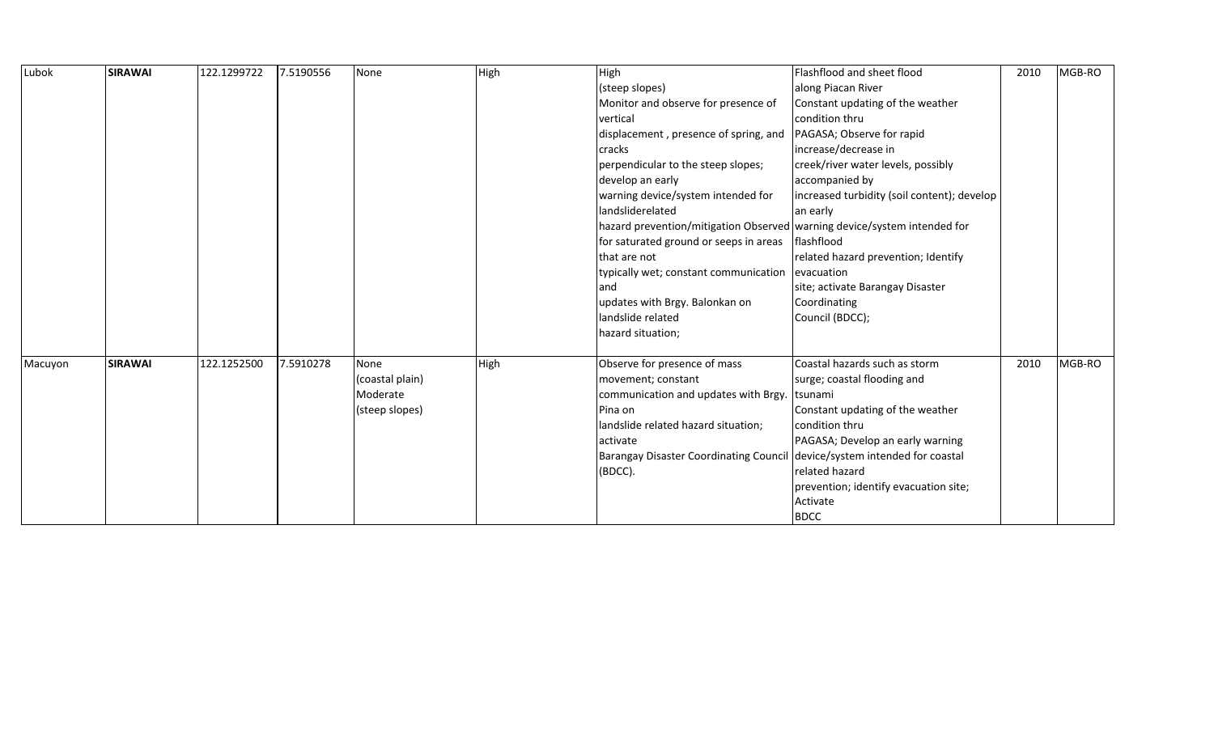| Lubok   | <b>SIRAWAI</b> | 122.1299722 | 7.5190556 | None            | High | High                                                                     | Flashflood and sheet flood                  | 2010 | MGB-RO |
|---------|----------------|-------------|-----------|-----------------|------|--------------------------------------------------------------------------|---------------------------------------------|------|--------|
|         |                |             |           |                 |      | (steep slopes)                                                           | along Piacan River                          |      |        |
|         |                |             |           |                 |      | Monitor and observe for presence of                                      | Constant updating of the weather            |      |        |
|         |                |             |           |                 |      | vertical                                                                 | condition thru                              |      |        |
|         |                |             |           |                 |      | displacement, presence of spring, and                                    | PAGASA; Observe for rapid                   |      |        |
|         |                |             |           |                 |      | cracks                                                                   | increase/decrease in                        |      |        |
|         |                |             |           |                 |      | perpendicular to the steep slopes;                                       | creek/river water levels, possibly          |      |        |
|         |                |             |           |                 |      | develop an early                                                         | accompanied by                              |      |        |
|         |                |             |           |                 |      | warning device/system intended for                                       | increased turbidity (soil content); develop |      |        |
|         |                |             |           |                 |      | landsliderelated                                                         | an early                                    |      |        |
|         |                |             |           |                 |      | hazard prevention/mitigation Observed warning device/system intended for |                                             |      |        |
|         |                |             |           |                 |      | for saturated ground or seeps in areas                                   | flashflood                                  |      |        |
|         |                |             |           |                 |      | that are not                                                             | related hazard prevention; Identify         |      |        |
|         |                |             |           |                 |      | typically wet; constant communication                                    | evacuation                                  |      |        |
|         |                |             |           |                 |      | and                                                                      | site; activate Barangay Disaster            |      |        |
|         |                |             |           |                 |      | updates with Brgy. Balonkan on                                           | Coordinating                                |      |        |
|         |                |             |           |                 |      | landslide related                                                        | Council (BDCC);                             |      |        |
|         |                |             |           |                 |      | hazard situation;                                                        |                                             |      |        |
| Macuyon | <b>SIRAWAI</b> | 122.1252500 | 7.5910278 | None            | High | Observe for presence of mass                                             | Coastal hazards such as storm               | 2010 | MGB-RO |
|         |                |             |           | (coastal plain) |      | movement; constant                                                       | surge; coastal flooding and                 |      |        |
|         |                |             |           | Moderate        |      | communication and updates with Brgy.                                     | tsunami                                     |      |        |
|         |                |             |           | (steep slopes)  |      | Pina on                                                                  | Constant updating of the weather            |      |        |
|         |                |             |           |                 |      | landslide related hazard situation;                                      | condition thru                              |      |        |
|         |                |             |           |                 |      | activate                                                                 | PAGASA; Develop an early warning            |      |        |
|         |                |             |           |                 |      | <b>Barangay Disaster Coordinating Council</b>                            | device/system intended for coastal          |      |        |
|         |                |             |           |                 |      | (BDCC).                                                                  | related hazard                              |      |        |
|         |                |             |           |                 |      |                                                                          | prevention; identify evacuation site;       |      |        |
|         |                |             |           |                 |      |                                                                          | Activate                                    |      |        |
|         |                |             |           |                 |      |                                                                          | <b>BDCC</b>                                 |      |        |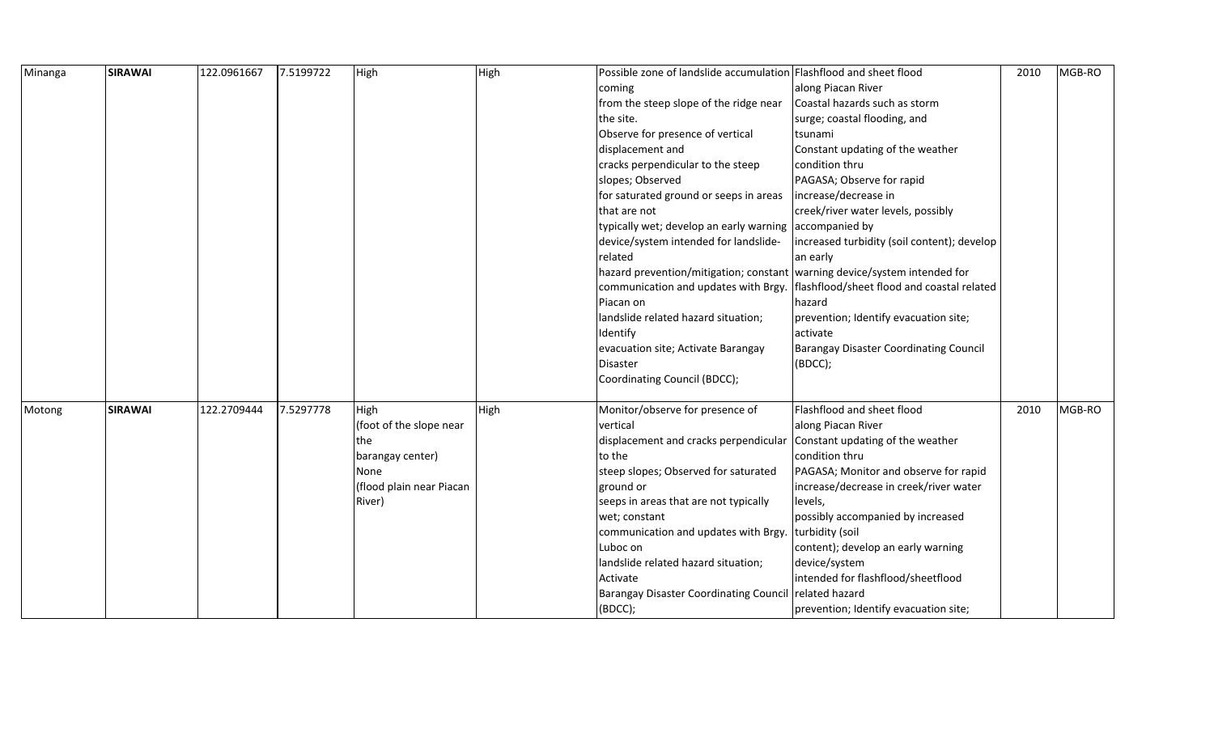| Minanga | <b>SIRAWAI</b> | 122.0961667 | 7.5199722 | High                     | High | Possible zone of landslide accumulation Flashflood and sheet flood          |                                               | 2010 | MGB-RO |
|---------|----------------|-------------|-----------|--------------------------|------|-----------------------------------------------------------------------------|-----------------------------------------------|------|--------|
|         |                |             |           |                          |      | coming                                                                      | along Piacan River                            |      |        |
|         |                |             |           |                          |      | from the steep slope of the ridge near                                      | Coastal hazards such as storm                 |      |        |
|         |                |             |           |                          |      | the site.                                                                   | surge; coastal flooding, and                  |      |        |
|         |                |             |           |                          |      | Observe for presence of vertical                                            | tsunami                                       |      |        |
|         |                |             |           |                          |      | displacement and                                                            | Constant updating of the weather              |      |        |
|         |                |             |           |                          |      | cracks perpendicular to the steep                                           | condition thru                                |      |        |
|         |                |             |           |                          |      | slopes; Observed                                                            | PAGASA; Observe for rapid                     |      |        |
|         |                |             |           |                          |      | for saturated ground or seeps in areas                                      | increase/decrease in                          |      |        |
|         |                |             |           |                          |      | that are not                                                                | creek/river water levels, possibly            |      |        |
|         |                |             |           |                          |      | typically wet; develop an early warning                                     | accompanied by                                |      |        |
|         |                |             |           |                          |      | device/system intended for landslide-                                       | increased turbidity (soil content); develop   |      |        |
|         |                |             |           |                          |      | related                                                                     | an early                                      |      |        |
|         |                |             |           |                          |      | hazard prevention/mitigation; constant   warning device/system intended for |                                               |      |        |
|         |                |             |           |                          |      | communication and updates with Brgy.                                        | flashflood/sheet flood and coastal related    |      |        |
|         |                |             |           |                          |      | Piacan on                                                                   | hazard                                        |      |        |
|         |                |             |           |                          |      | landslide related hazard situation;                                         | prevention; Identify evacuation site;         |      |        |
|         |                |             |           |                          |      | Identify                                                                    | activate                                      |      |        |
|         |                |             |           |                          |      | evacuation site; Activate Barangay                                          | <b>Barangay Disaster Coordinating Council</b> |      |        |
|         |                |             |           |                          |      | Disaster                                                                    | (BDCC);                                       |      |        |
|         |                |             |           |                          |      | Coordinating Council (BDCC);                                                |                                               |      |        |
|         |                |             |           |                          |      |                                                                             |                                               |      |        |
| Motong  | <b>SIRAWAI</b> | 122.2709444 | 7.5297778 | High                     | High | Monitor/observe for presence of                                             | Flashflood and sheet flood                    | 2010 | MGB-RO |
|         |                |             |           | (foot of the slope near  |      | vertical                                                                    | along Piacan River                            |      |        |
|         |                |             |           | the                      |      | displacement and cracks perpendicular                                       | Constant updating of the weather              |      |        |
|         |                |             |           | barangay center)         |      | to the                                                                      | condition thru                                |      |        |
|         |                |             |           | None                     |      | steep slopes; Observed for saturated                                        | PAGASA; Monitor and observe for rapid         |      |        |
|         |                |             |           | (flood plain near Piacan |      | ground or                                                                   | increase/decrease in creek/river water        |      |        |
|         |                |             |           | River)                   |      | seeps in areas that are not typically                                       | levels,                                       |      |        |
|         |                |             |           |                          |      | wet; constant                                                               | possibly accompanied by increased             |      |        |
|         |                |             |           |                          |      | communication and updates with Brgy                                         | turbidity (soil                               |      |        |
|         |                |             |           |                          |      | Luboc on                                                                    | content); develop an early warning            |      |        |
|         |                |             |           |                          |      | landslide related hazard situation;                                         | device/system                                 |      |        |
|         |                |             |           |                          |      | Activate                                                                    | intended for flashflood/sheetflood            |      |        |
|         |                |             |           |                          |      | <b>Barangay Disaster Coordinating Council</b>                               | related hazard                                |      |        |
|         |                |             |           |                          |      | (BDCC);                                                                     | prevention; Identify evacuation site;         |      |        |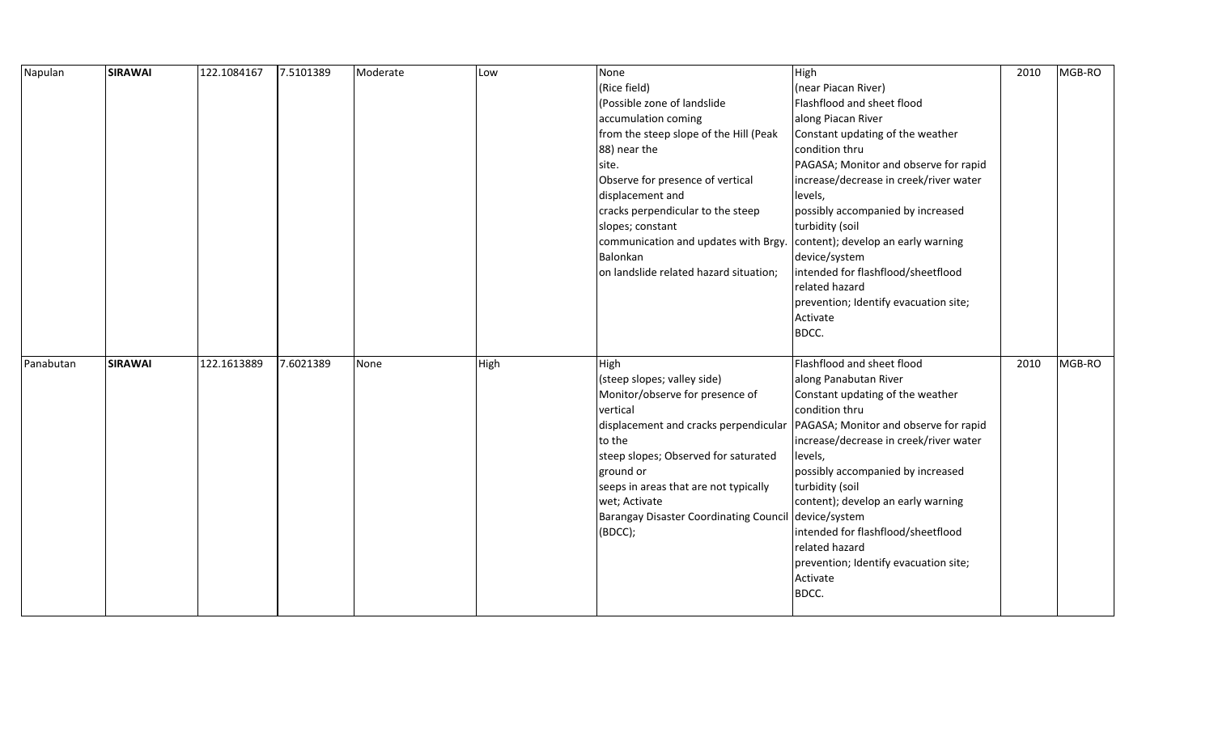| Napulan   | <b>SIRAWAI</b> | 122.1084167 | 7.5101389 | Moderate | Low  | None                                          | High                                   | 2010 | MGB-RO |
|-----------|----------------|-------------|-----------|----------|------|-----------------------------------------------|----------------------------------------|------|--------|
|           |                |             |           |          |      | (Rice field)                                  | (near Piacan River)                    |      |        |
|           |                |             |           |          |      | (Possible zone of landslide                   | Flashflood and sheet flood             |      |        |
|           |                |             |           |          |      | accumulation coming                           | along Piacan River                     |      |        |
|           |                |             |           |          |      | from the steep slope of the Hill (Peak        | Constant updating of the weather       |      |        |
|           |                |             |           |          |      | 88) near the                                  | condition thru                         |      |        |
|           |                |             |           |          |      | site.                                         | PAGASA; Monitor and observe for rapid  |      |        |
|           |                |             |           |          |      | Observe for presence of vertical              | increase/decrease in creek/river water |      |        |
|           |                |             |           |          |      | displacement and                              | levels,                                |      |        |
|           |                |             |           |          |      | cracks perpendicular to the steep             | possibly accompanied by increased      |      |        |
|           |                |             |           |          |      | slopes; constant                              | turbidity (soil                        |      |        |
|           |                |             |           |          |      | communication and updates with Brgy.          | content); develop an early warning     |      |        |
|           |                |             |           |          |      | Balonkan                                      | device/system                          |      |        |
|           |                |             |           |          |      | on landslide related hazard situation;        | intended for flashflood/sheetflood     |      |        |
|           |                |             |           |          |      |                                               | related hazard                         |      |        |
|           |                |             |           |          |      |                                               | prevention; Identify evacuation site;  |      |        |
|           |                |             |           |          |      |                                               | Activate                               |      |        |
|           |                |             |           |          |      |                                               | BDCC.                                  |      |        |
|           |                |             |           |          |      |                                               |                                        |      |        |
| Panabutan | <b>SIRAWAI</b> | 122.1613889 | 7.6021389 | None     | High | High                                          | Flashflood and sheet flood             | 2010 | MGB-RO |
|           |                |             |           |          |      | (steep slopes; valley side)                   | along Panabutan River                  |      |        |
|           |                |             |           |          |      | Monitor/observe for presence of               | Constant updating of the weather       |      |        |
|           |                |             |           |          |      | vertical                                      | condition thru                         |      |        |
|           |                |             |           |          |      | displacement and cracks perpendicular         | PAGASA; Monitor and observe for rapid  |      |        |
|           |                |             |           |          |      | to the                                        | increase/decrease in creek/river water |      |        |
|           |                |             |           |          |      | steep slopes; Observed for saturated          | levels,                                |      |        |
|           |                |             |           |          |      | ground or                                     | possibly accompanied by increased      |      |        |
|           |                |             |           |          |      | seeps in areas that are not typically         | turbidity (soil                        |      |        |
|           |                |             |           |          |      | wet; Activate                                 | content); develop an early warning     |      |        |
|           |                |             |           |          |      | <b>Barangay Disaster Coordinating Council</b> | device/system                          |      |        |
|           |                |             |           |          |      | (BDCC);                                       | intended for flashflood/sheetflood     |      |        |
|           |                |             |           |          |      |                                               | related hazard                         |      |        |
|           |                |             |           |          |      |                                               | prevention; Identify evacuation site;  |      |        |
|           |                |             |           |          |      |                                               | Activate                               |      |        |
|           |                |             |           |          |      |                                               |                                        |      |        |
|           |                |             |           |          |      |                                               | BDCC.                                  |      |        |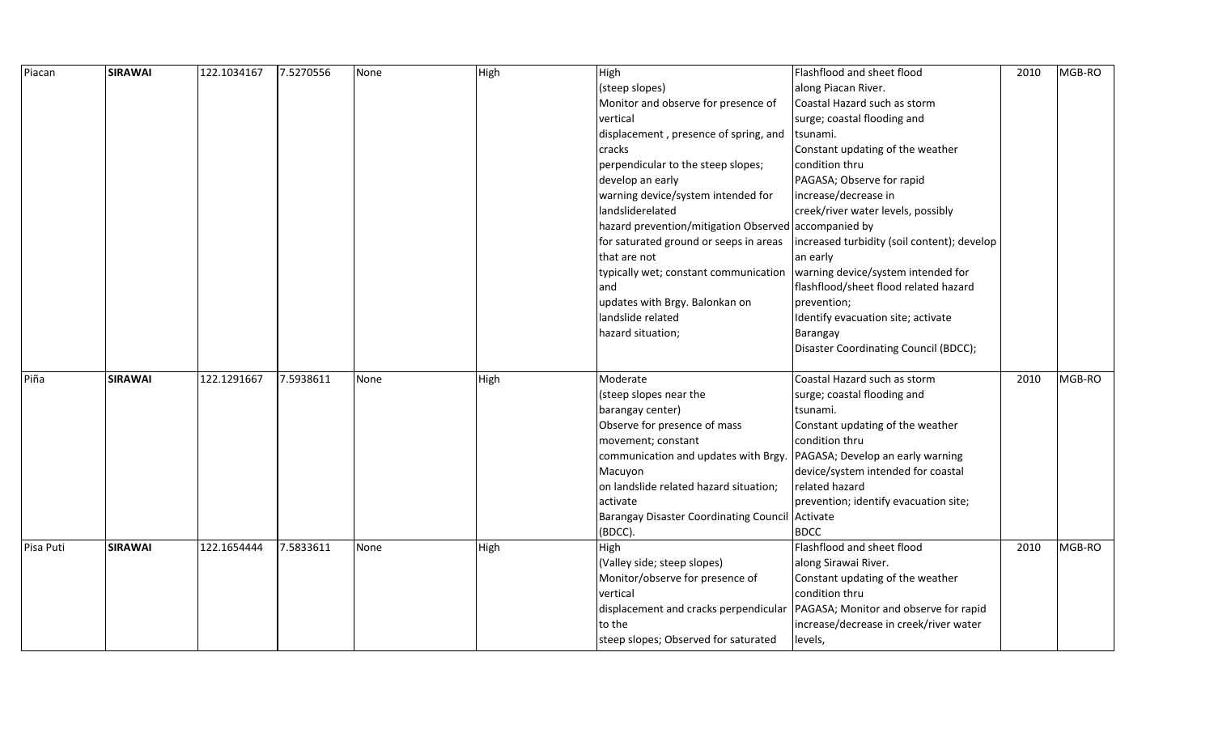| Piacan    | <b>SIRAWAI</b> | 122.1034167 | 7.5270556 | None | High | High                                                 | Flashflood and sheet flood                  | 2010 | MGB-RO |
|-----------|----------------|-------------|-----------|------|------|------------------------------------------------------|---------------------------------------------|------|--------|
|           |                |             |           |      |      | (steep slopes)                                       | along Piacan River.                         |      |        |
|           |                |             |           |      |      | Monitor and observe for presence of                  | Coastal Hazard such as storm                |      |        |
|           |                |             |           |      |      | vertical                                             | surge; coastal flooding and                 |      |        |
|           |                |             |           |      |      | displacement, presence of spring, and                | Itsunami.                                   |      |        |
|           |                |             |           |      |      | cracks                                               | Constant updating of the weather            |      |        |
|           |                |             |           |      |      | perpendicular to the steep slopes;                   | condition thru                              |      |        |
|           |                |             |           |      |      | develop an early                                     | PAGASA; Observe for rapid                   |      |        |
|           |                |             |           |      |      | warning device/system intended for                   | increase/decrease in                        |      |        |
|           |                |             |           |      |      | landsliderelated                                     | creek/river water levels, possibly          |      |        |
|           |                |             |           |      |      | hazard prevention/mitigation Observed accompanied by |                                             |      |        |
|           |                |             |           |      |      | for saturated ground or seeps in areas               | increased turbidity (soil content); develop |      |        |
|           |                |             |           |      |      | that are not                                         | an early                                    |      |        |
|           |                |             |           |      |      | typically wet; constant communication                | warning device/system intended for          |      |        |
|           |                |             |           |      |      | land                                                 | flashflood/sheet flood related hazard       |      |        |
|           |                |             |           |      |      | updates with Brgy. Balonkan on                       | prevention;                                 |      |        |
|           |                |             |           |      |      | landslide related                                    | Identify evacuation site; activate          |      |        |
|           |                |             |           |      |      | hazard situation;                                    | Barangay                                    |      |        |
|           |                |             |           |      |      |                                                      | Disaster Coordinating Council (BDCC);       |      |        |
|           |                |             |           |      |      |                                                      |                                             |      |        |
| Piña      | <b>SIRAWAI</b> | 122.1291667 | 7.5938611 | None | High | Moderate                                             | Coastal Hazard such as storm                | 2010 | MGB-RO |
|           |                |             |           |      |      | (steep slopes near the                               | surge; coastal flooding and                 |      |        |
|           |                |             |           |      |      | barangay center)                                     | tsunami.                                    |      |        |
|           |                |             |           |      |      | Observe for presence of mass                         | Constant updating of the weather            |      |        |
|           |                |             |           |      |      | movement; constant                                   | condition thru                              |      |        |
|           |                |             |           |      |      | communication and updates with Brgy.                 | PAGASA; Develop an early warning            |      |        |
|           |                |             |           |      |      | Macuyon                                              | device/system intended for coastal          |      |        |
|           |                |             |           |      |      | on landslide related hazard situation;               | related hazard                              |      |        |
|           |                |             |           |      |      | activate                                             | prevention; identify evacuation site;       |      |        |
|           |                |             |           |      |      | Barangay Disaster Coordinating Council Activate      |                                             |      |        |
|           |                |             |           |      |      | (BDCC).                                              | <b>BDCC</b>                                 |      |        |
| Pisa Puti | <b>SIRAWAI</b> | 122.1654444 | 7.5833611 | None | High | High                                                 | Flashflood and sheet flood                  | 2010 | MGB-RO |
|           |                |             |           |      |      | (Valley side; steep slopes)                          | along Sirawai River.                        |      |        |
|           |                |             |           |      |      | Monitor/observe for presence of                      | Constant updating of the weather            |      |        |
|           |                |             |           |      |      | vertical                                             | condition thru                              |      |        |
|           |                |             |           |      |      | displacement and cracks perpendicular                | PAGASA; Monitor and observe for rapid       |      |        |
|           |                |             |           |      |      | to the                                               | increase/decrease in creek/river water      |      |        |
|           |                |             |           |      |      | steep slopes; Observed for saturated                 | levels,                                     |      |        |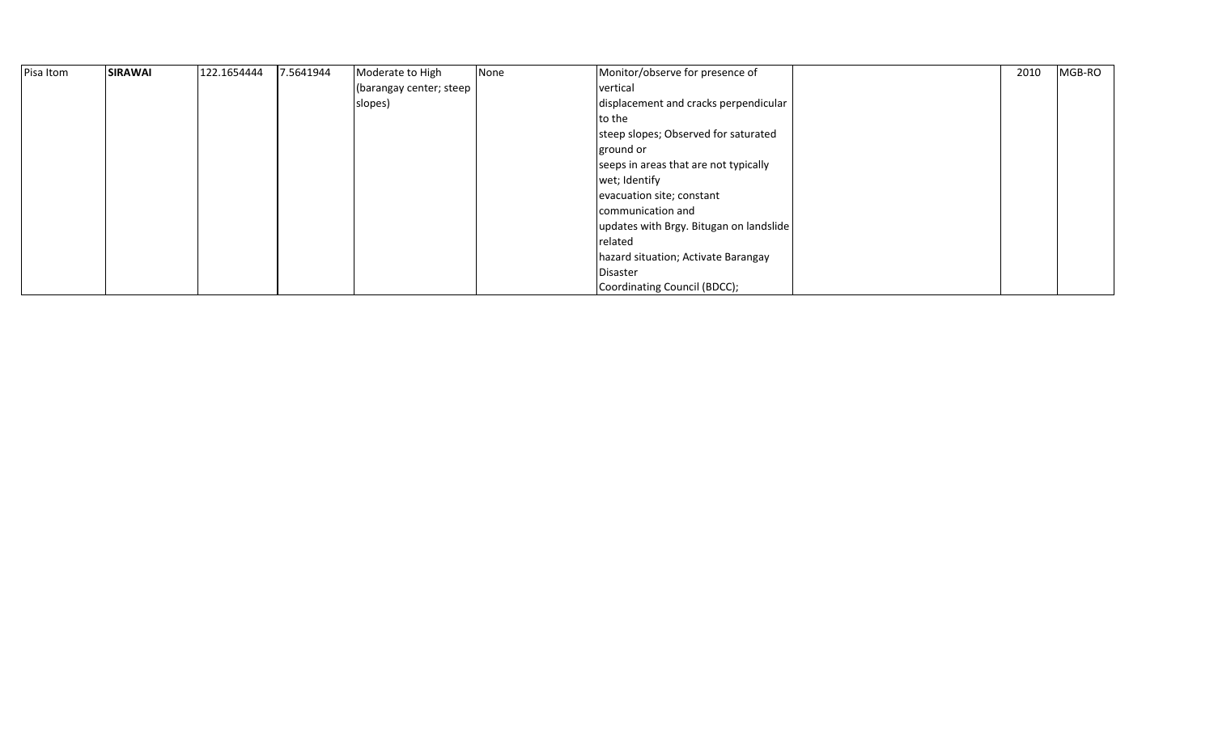| Pisa Itom | <b>SIRAWAI</b> | 122.1654444 | 7.5641944 | Moderate to High        | None | Monitor/observe for presence of         | MGB-RO<br>2010 |
|-----------|----------------|-------------|-----------|-------------------------|------|-----------------------------------------|----------------|
|           |                |             |           | (barangay center; steep |      | vertical                                |                |
|           |                |             |           | slopes)                 |      | displacement and cracks perpendicular   |                |
|           |                |             |           |                         |      | to the                                  |                |
|           |                |             |           |                         |      | steep slopes; Observed for saturated    |                |
|           |                |             |           |                         |      | ground or                               |                |
|           |                |             |           |                         |      | seeps in areas that are not typically   |                |
|           |                |             |           |                         |      | wet; Identify                           |                |
|           |                |             |           |                         |      | evacuation site; constant               |                |
|           |                |             |           |                         |      | communication and                       |                |
|           |                |             |           |                         |      | updates with Brgy. Bitugan on landslide |                |
|           |                |             |           |                         |      | related                                 |                |
|           |                |             |           |                         |      | hazard situation; Activate Barangay     |                |
|           |                |             |           |                         |      | Disaster                                |                |
|           |                |             |           |                         |      | Coordinating Council (BDCC);            |                |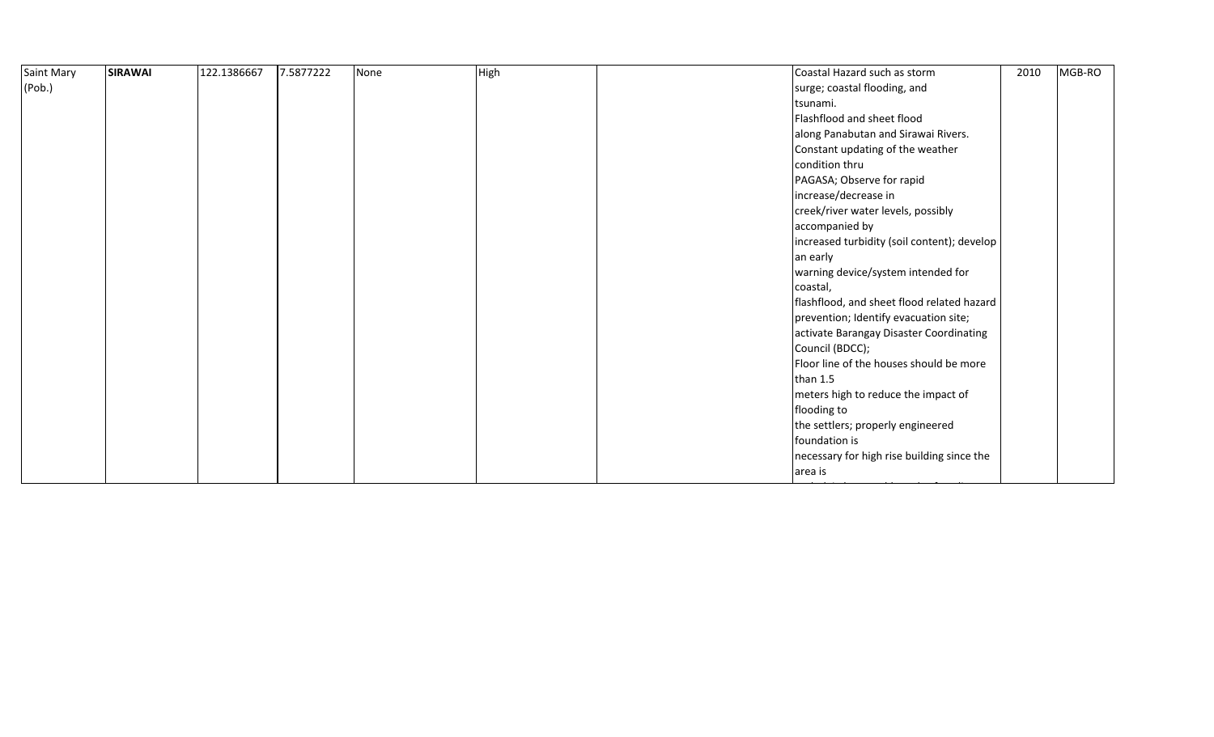| <b>SIRAWAI</b> | 122.1386667 | 7.5877222 | None | High | Coastal Hazard such as storm                | 2010                             | MGB-RO |
|----------------|-------------|-----------|------|------|---------------------------------------------|----------------------------------|--------|
|                |             |           |      |      | surge; coastal flooding, and                |                                  |        |
|                |             |           |      |      | tsunami.                                    |                                  |        |
|                |             |           |      |      | Flashflood and sheet flood                  |                                  |        |
|                |             |           |      |      | along Panabutan and Sirawai Rivers.         |                                  |        |
|                |             |           |      |      |                                             |                                  |        |
|                |             |           |      |      | condition thru                              |                                  |        |
|                |             |           |      |      | PAGASA; Observe for rapid                   |                                  |        |
|                |             |           |      |      | increase/decrease in                        |                                  |        |
|                |             |           |      |      | creek/river water levels, possibly          |                                  |        |
|                |             |           |      |      | accompanied by                              |                                  |        |
|                |             |           |      |      | increased turbidity (soil content); develop |                                  |        |
|                |             |           |      |      | an early                                    |                                  |        |
|                |             |           |      |      | warning device/system intended for          |                                  |        |
|                |             |           |      |      | coastal,                                    |                                  |        |
|                |             |           |      |      | flashflood, and sheet flood related hazard  |                                  |        |
|                |             |           |      |      | prevention; Identify evacuation site;       |                                  |        |
|                |             |           |      |      | activate Barangay Disaster Coordinating     |                                  |        |
|                |             |           |      |      | Council (BDCC);                             |                                  |        |
|                |             |           |      |      | Floor line of the houses should be more     |                                  |        |
|                |             |           |      |      | than $1.5$                                  |                                  |        |
|                |             |           |      |      | meters high to reduce the impact of         |                                  |        |
|                |             |           |      |      | flooding to                                 |                                  |        |
|                |             |           |      |      | the settlers; properly engineered           |                                  |        |
|                |             |           |      |      | foundation is                               |                                  |        |
|                |             |           |      |      | necessary for high rise building since the  |                                  |        |
|                |             |           |      |      | area is                                     |                                  |        |
|                |             |           |      |      |                                             | Constant updating of the weather |        |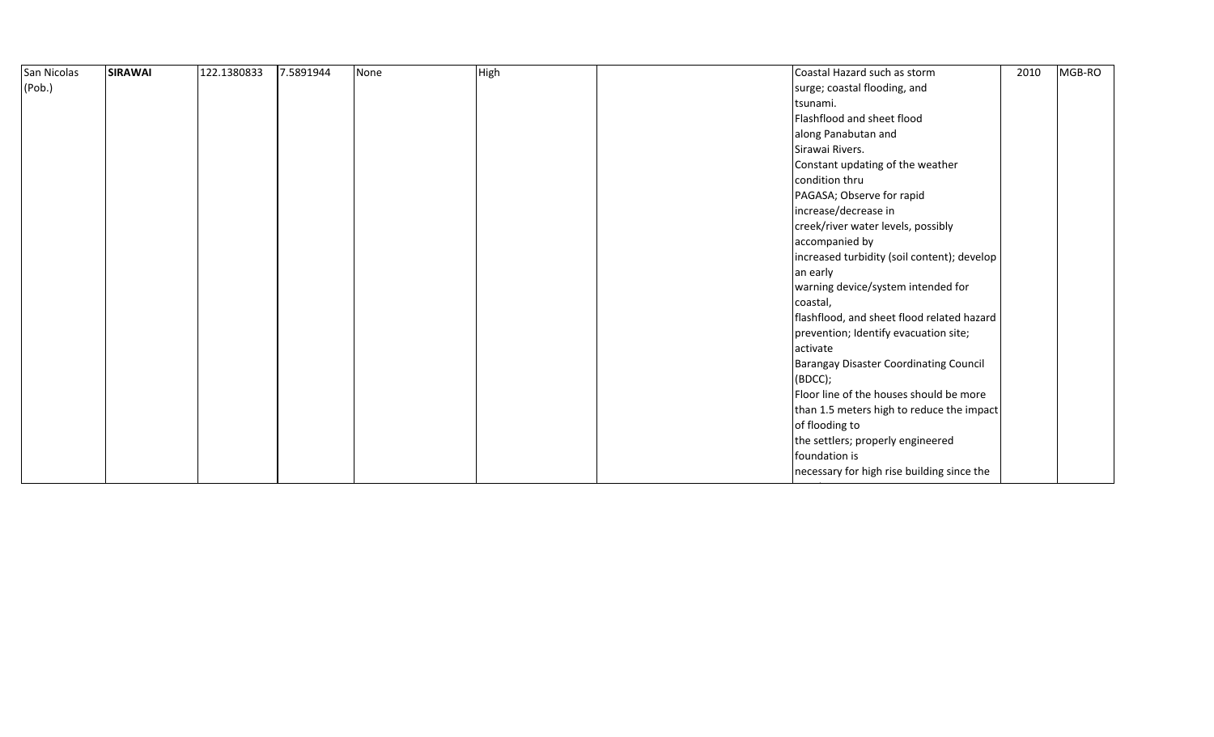| San Nicolas | <b>SIRAWAI</b> | 122.1380833 | 7.5891944 | None | High | Coastal Hazard such as storm                | 2010 | MGB-RO |  |
|-------------|----------------|-------------|-----------|------|------|---------------------------------------------|------|--------|--|
| (Pob.)      |                |             |           |      |      | surge; coastal flooding, and                |      |        |  |
|             |                |             |           |      |      | tsunami.                                    |      |        |  |
|             |                |             |           |      |      | Flashflood and sheet flood                  |      |        |  |
|             |                |             |           |      |      | along Panabutan and                         |      |        |  |
|             |                |             |           |      |      | Sirawai Rivers.                             |      |        |  |
|             |                |             |           |      |      | Constant updating of the weather            |      |        |  |
|             |                |             |           |      |      | condition thru                              |      |        |  |
|             |                |             |           |      |      | PAGASA; Observe for rapid                   |      |        |  |
|             |                |             |           |      |      | increase/decrease in                        |      |        |  |
|             |                |             |           |      |      | creek/river water levels, possibly          |      |        |  |
|             |                |             |           |      |      | accompanied by                              |      |        |  |
|             |                |             |           |      |      | increased turbidity (soil content); develop |      |        |  |
|             |                |             |           |      |      | an early                                    |      |        |  |
|             |                |             |           |      |      | warning device/system intended for          |      |        |  |
|             |                |             |           |      |      | coastal,                                    |      |        |  |
|             |                |             |           |      |      | flashflood, and sheet flood related hazard  |      |        |  |
|             |                |             |           |      |      | prevention; Identify evacuation site;       |      |        |  |
|             |                |             |           |      |      | activate                                    |      |        |  |
|             |                |             |           |      |      | Barangay Disaster Coordinating Council      |      |        |  |
|             |                |             |           |      |      | (BOCC);                                     |      |        |  |
|             |                |             |           |      |      | Floor line of the houses should be more     |      |        |  |
|             |                |             |           |      |      | than 1.5 meters high to reduce the impact   |      |        |  |
|             |                |             |           |      |      | of flooding to                              |      |        |  |
|             |                |             |           |      |      | the settlers; properly engineered           |      |        |  |
|             |                |             |           |      |      | foundation is                               |      |        |  |
|             |                |             |           |      |      | necessary for high rise building since the  |      |        |  |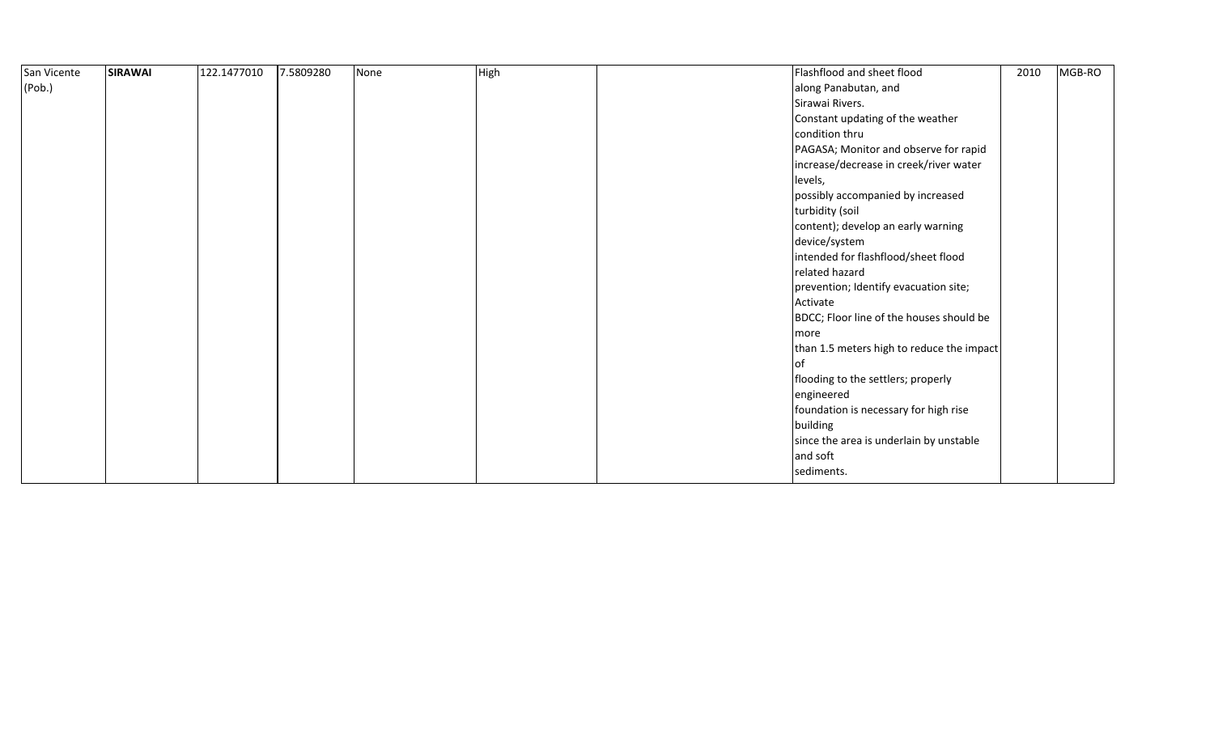| San Vicente | <b>SIRAWAI</b> | 122.1477010 | 7.5809280 | None | High | Flashflood and sheet flood                | 2010 | MGB-RO |
|-------------|----------------|-------------|-----------|------|------|-------------------------------------------|------|--------|
| (Pob.)      |                |             |           |      |      | along Panabutan, and                      |      |        |
|             |                |             |           |      |      | Sirawai Rivers.                           |      |        |
|             |                |             |           |      |      | Constant updating of the weather          |      |        |
|             |                |             |           |      |      | condition thru                            |      |        |
|             |                |             |           |      |      | PAGASA; Monitor and observe for rapid     |      |        |
|             |                |             |           |      |      | increase/decrease in creek/river water    |      |        |
|             |                |             |           |      |      | levels,                                   |      |        |
|             |                |             |           |      |      | possibly accompanied by increased         |      |        |
|             |                |             |           |      |      | turbidity (soil                           |      |        |
|             |                |             |           |      |      | content); develop an early warning        |      |        |
|             |                |             |           |      |      | device/system                             |      |        |
|             |                |             |           |      |      | intended for flashflood/sheet flood       |      |        |
|             |                |             |           |      |      | related hazard                            |      |        |
|             |                |             |           |      |      | prevention; Identify evacuation site;     |      |        |
|             |                |             |           |      |      | Activate                                  |      |        |
|             |                |             |           |      |      | BDCC; Floor line of the houses should be  |      |        |
|             |                |             |           |      |      | more                                      |      |        |
|             |                |             |           |      |      | than 1.5 meters high to reduce the impact |      |        |
|             |                |             |           |      |      |                                           |      |        |
|             |                |             |           |      |      | flooding to the settlers; properly        |      |        |
|             |                |             |           |      |      | engineered                                |      |        |
|             |                |             |           |      |      | foundation is necessary for high rise     |      |        |
|             |                |             |           |      |      | building                                  |      |        |
|             |                |             |           |      |      | since the area is underlain by unstable   |      |        |
|             |                |             |           |      |      | and soft                                  |      |        |
|             |                |             |           |      |      | sediments.                                |      |        |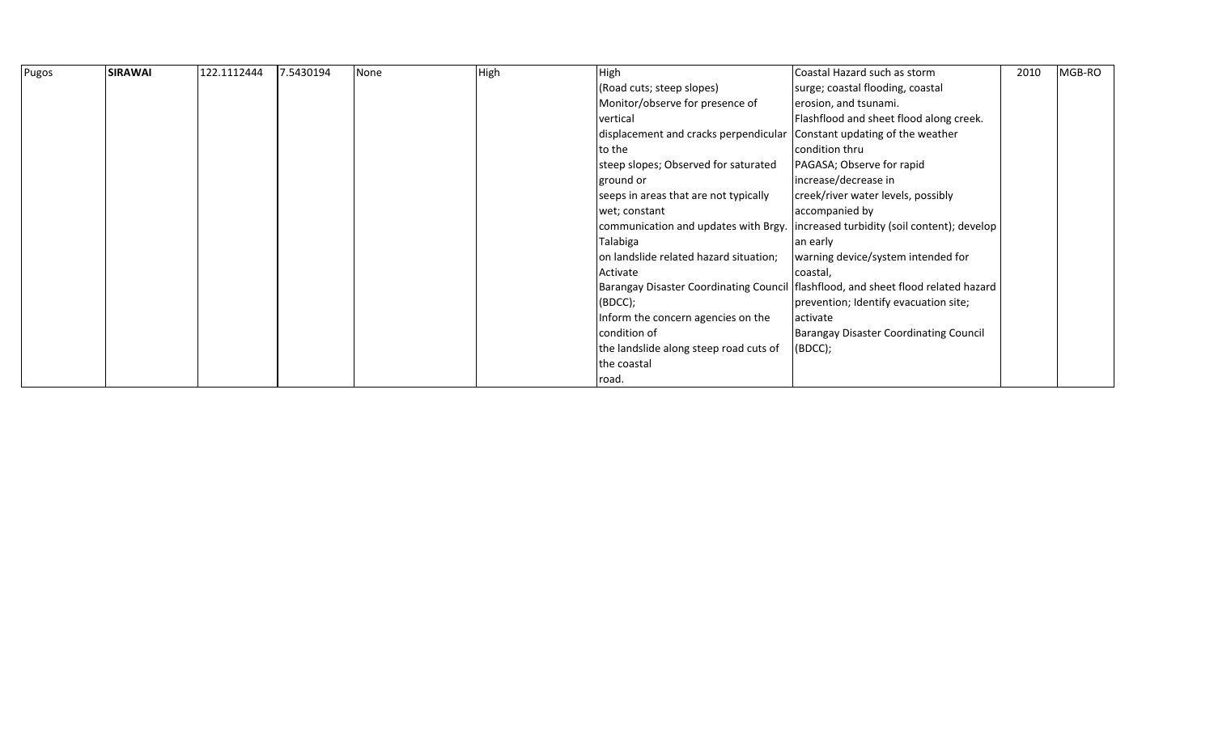| Pugos | <b>SIRAWAI</b> | 122.1112444 | 7.5430194 | None | High | High                                                                   | Coastal Hazard such as storm                                                        | 2010 | MGB-RO |
|-------|----------------|-------------|-----------|------|------|------------------------------------------------------------------------|-------------------------------------------------------------------------------------|------|--------|
|       |                |             |           |      |      | (Road cuts; steep slopes)                                              | surge; coastal flooding, coastal                                                    |      |        |
|       |                |             |           |      |      | Monitor/observe for presence of                                        | erosion, and tsunami.                                                               |      |        |
|       |                |             |           |      |      | vertical                                                               | Flashflood and sheet flood along creek.                                             |      |        |
|       |                |             |           |      |      | displacement and cracks perpendicular Constant updating of the weather |                                                                                     |      |        |
|       |                |             |           |      |      | to the                                                                 | condition thru                                                                      |      |        |
|       |                |             |           |      |      | steep slopes; Observed for saturated                                   | PAGASA; Observe for rapid                                                           |      |        |
|       |                |             |           |      |      | ground or                                                              | increase/decrease in                                                                |      |        |
|       |                |             |           |      |      | seeps in areas that are not typically                                  | creek/river water levels, possibly                                                  |      |        |
|       |                |             |           |      |      | wet; constant                                                          | accompanied by                                                                      |      |        |
|       |                |             |           |      |      |                                                                        | communication and updates with Brgy.   increased turbidity (soil content); develop  |      |        |
|       |                |             |           |      |      | Talabiga                                                               | an early                                                                            |      |        |
|       |                |             |           |      |      | on landslide related hazard situation;                                 | warning device/system intended for                                                  |      |        |
|       |                |             |           |      |      | Activate                                                               | coastal,                                                                            |      |        |
|       |                |             |           |      |      |                                                                        | Barangay Disaster Coordinating Council   flashflood, and sheet flood related hazard |      |        |
|       |                |             |           |      |      | (BDCC);                                                                | prevention; Identify evacuation site;                                               |      |        |
|       |                |             |           |      |      | Inform the concern agencies on the                                     | activate                                                                            |      |        |
|       |                |             |           |      |      | condition of                                                           | <b>Barangay Disaster Coordinating Council</b>                                       |      |        |
|       |                |             |           |      |      | the landslide along steep road cuts of                                 | (BDCC);                                                                             |      |        |
|       |                |             |           |      |      | the coastal                                                            |                                                                                     |      |        |
|       |                |             |           |      |      | road.                                                                  |                                                                                     |      |        |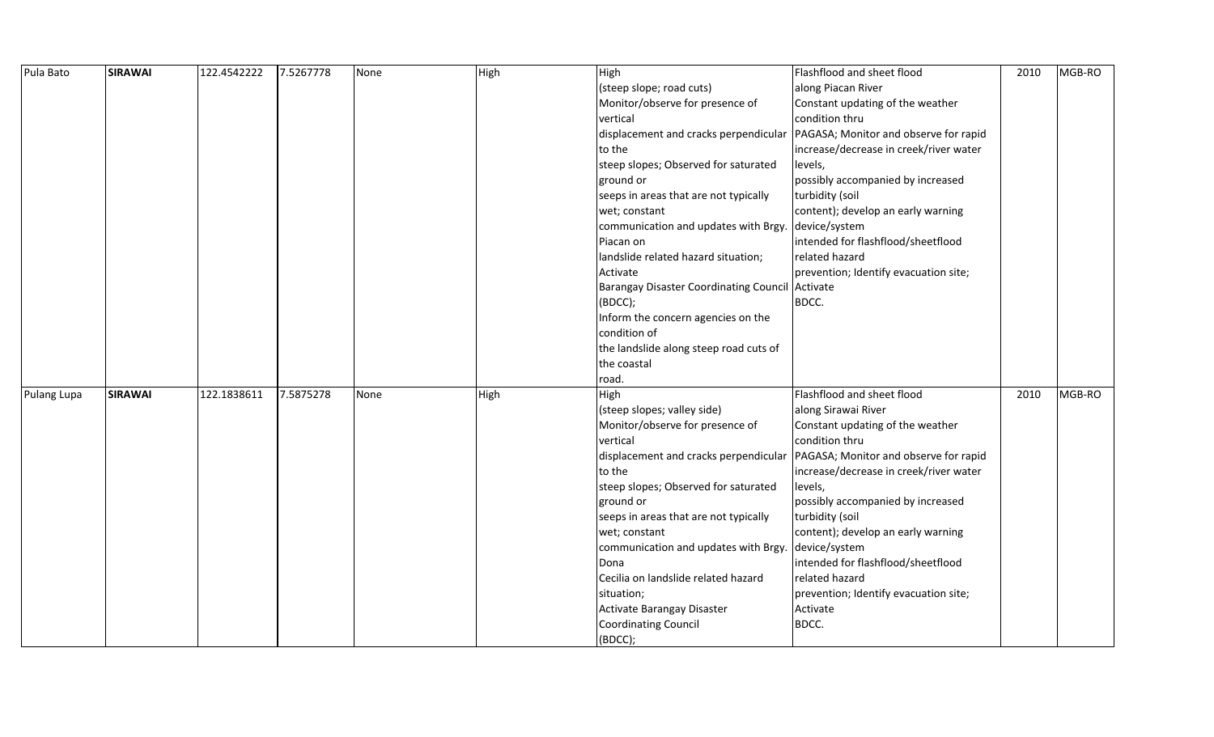| Pula Bato   | <b>SIRAWAI</b> | 122.4542222 | 7.5267778 | None | High | High                                            | Flashflood and sheet flood             | 2010 | MGB-RO |
|-------------|----------------|-------------|-----------|------|------|-------------------------------------------------|----------------------------------------|------|--------|
|             |                |             |           |      |      | (steep slope; road cuts)                        | along Piacan River                     |      |        |
|             |                |             |           |      |      | Monitor/observe for presence of                 | Constant updating of the weather       |      |        |
|             |                |             |           |      |      | vertical                                        | condition thru                         |      |        |
|             |                |             |           |      |      | displacement and cracks perpendicular           | PAGASA; Monitor and observe for rapid  |      |        |
|             |                |             |           |      |      | to the                                          | increase/decrease in creek/river water |      |        |
|             |                |             |           |      |      | steep slopes; Observed for saturated            | levels,                                |      |        |
|             |                |             |           |      |      | ground or                                       | possibly accompanied by increased      |      |        |
|             |                |             |           |      |      | seeps in areas that are not typically           | turbidity (soil                        |      |        |
|             |                |             |           |      |      | wet; constant                                   | content); develop an early warning     |      |        |
|             |                |             |           |      |      | communication and updates with Brgy.            | device/system                          |      |        |
|             |                |             |           |      |      | Piacan on                                       | intended for flashflood/sheetflood     |      |        |
|             |                |             |           |      |      | landslide related hazard situation;             | related hazard                         |      |        |
|             |                |             |           |      |      | Activate                                        | prevention; Identify evacuation site;  |      |        |
|             |                |             |           |      |      | Barangay Disaster Coordinating Council Activate |                                        |      |        |
|             |                |             |           |      |      | (BDCC);                                         | BDCC.                                  |      |        |
|             |                |             |           |      |      | Inform the concern agencies on the              |                                        |      |        |
|             |                |             |           |      |      | condition of                                    |                                        |      |        |
|             |                |             |           |      |      | the landslide along steep road cuts of          |                                        |      |        |
|             |                |             |           |      |      | the coastal                                     |                                        |      |        |
|             |                |             |           |      |      | road.                                           |                                        |      |        |
| Pulang Lupa | <b>SIRAWAI</b> | 122.1838611 | 7.5875278 | None | High | High                                            | Flashflood and sheet flood             | 2010 | MGB-RO |
|             |                |             |           |      |      | (steep slopes; valley side)                     | along Sirawai River                    |      |        |
|             |                |             |           |      |      | Monitor/observe for presence of                 | Constant updating of the weather       |      |        |
|             |                |             |           |      |      | vertical                                        | condition thru                         |      |        |
|             |                |             |           |      |      | displacement and cracks perpendicular           | PAGASA; Monitor and observe for rapid  |      |        |
|             |                |             |           |      |      | to the                                          | increase/decrease in creek/river water |      |        |
|             |                |             |           |      |      | steep slopes; Observed for saturated            | levels,                                |      |        |
|             |                |             |           |      |      | ground or                                       | possibly accompanied by increased      |      |        |
|             |                |             |           |      |      | seeps in areas that are not typically           | turbidity (soil                        |      |        |
|             |                |             |           |      |      | wet; constant                                   | content); develop an early warning     |      |        |
|             |                |             |           |      |      | communication and updates with Brgy.            | device/system                          |      |        |
|             |                |             |           |      |      | Dona                                            | intended for flashflood/sheetflood     |      |        |
|             |                |             |           |      |      | Cecilia on landslide related hazard             | related hazard                         |      |        |
|             |                |             |           |      |      | situation;                                      | prevention; Identify evacuation site;  |      |        |
|             |                |             |           |      |      | Activate Barangay Disaster                      | Activate                               |      |        |
|             |                |             |           |      |      | <b>Coordinating Council</b>                     | BDCC.                                  |      |        |
|             |                |             |           |      |      | (BDCC);                                         |                                        |      |        |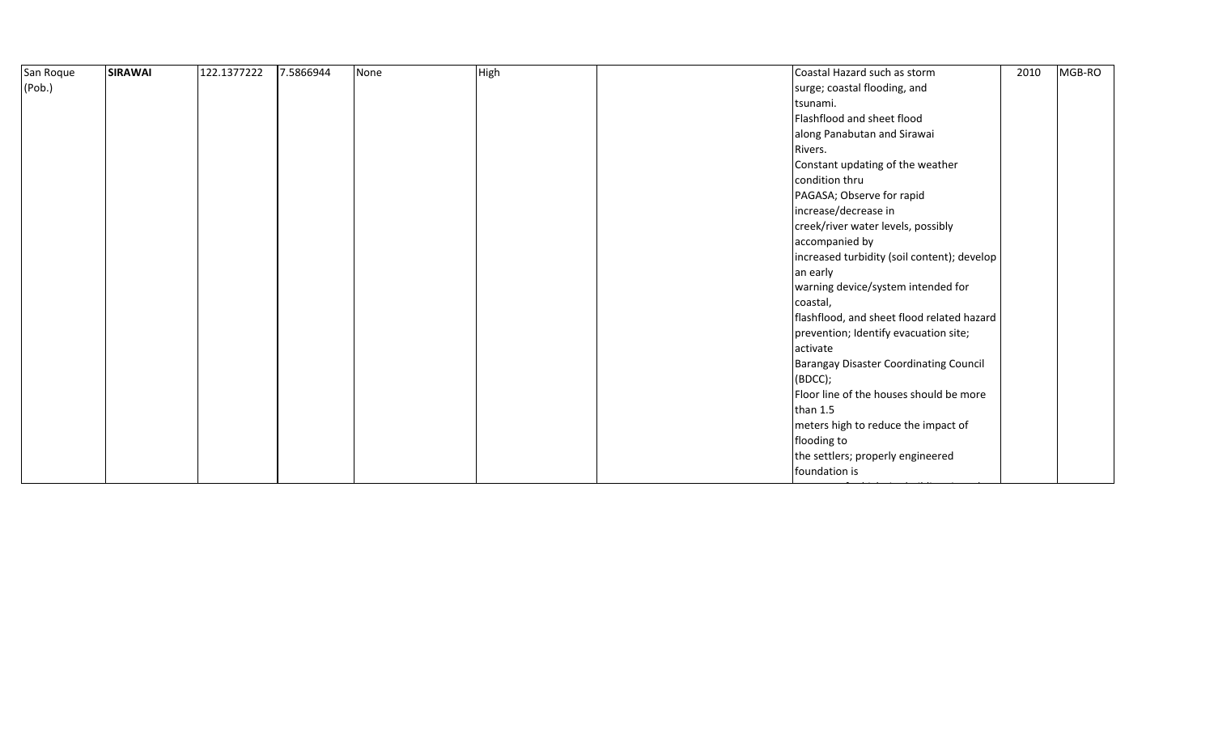| 2010<br>Coastal Hazard such as storm          | MGB-RO |
|-----------------------------------------------|--------|
|                                               |        |
|                                               |        |
|                                               |        |
| along Panabutan and Sirawai                   |        |
|                                               |        |
| Constant updating of the weather              |        |
|                                               |        |
|                                               |        |
|                                               |        |
| creek/river water levels, possibly            |        |
|                                               |        |
| increased turbidity (soil content); develop   |        |
|                                               |        |
| warning device/system intended for            |        |
|                                               |        |
| flashflood, and sheet flood related hazard    |        |
| prevention; Identify evacuation site;         |        |
|                                               |        |
| <b>Barangay Disaster Coordinating Council</b> |        |
|                                               |        |
| Floor line of the houses should be more       |        |
|                                               |        |
| meters high to reduce the impact of           |        |
|                                               |        |
| the settlers; properly engineered             |        |
|                                               |        |
|                                               |        |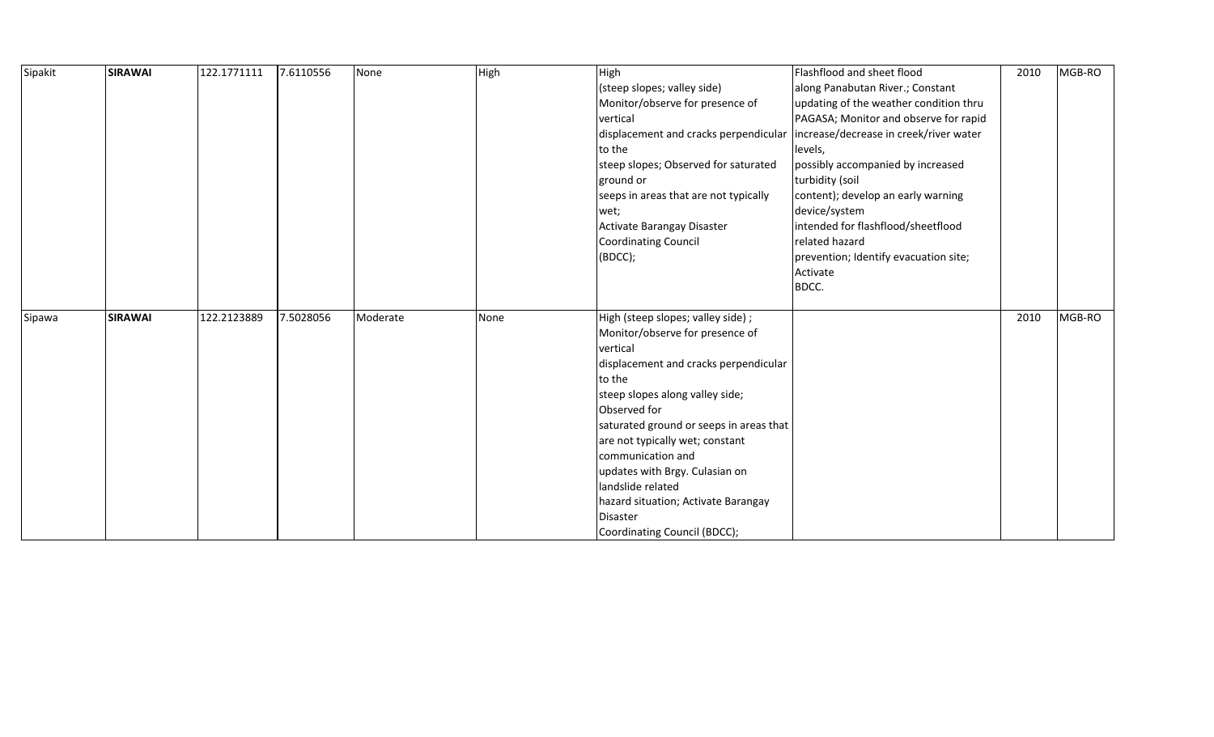| Sipakit | <b>SIRAWAI</b> | 122.1771111 | 7.6110556 | None     | High | High                                                                          | Flashflood and sheet flood             | 2010 | MGB-RO |
|---------|----------------|-------------|-----------|----------|------|-------------------------------------------------------------------------------|----------------------------------------|------|--------|
|         |                |             |           |          |      | (steep slopes; valley side)                                                   | along Panabutan River.; Constant       |      |        |
|         |                |             |           |          |      | Monitor/observe for presence of                                               | updating of the weather condition thru |      |        |
|         |                |             |           |          |      | vertical                                                                      | PAGASA; Monitor and observe for rapid  |      |        |
|         |                |             |           |          |      | displacement and cracks perpendicular  increase/decrease in creek/river water |                                        |      |        |
|         |                |             |           |          |      | to the                                                                        | levels,                                |      |        |
|         |                |             |           |          |      | steep slopes; Observed for saturated                                          | possibly accompanied by increased      |      |        |
|         |                |             |           |          |      | ground or                                                                     | turbidity (soil                        |      |        |
|         |                |             |           |          |      | seeps in areas that are not typically                                         | content); develop an early warning     |      |        |
|         |                |             |           |          |      | wet;                                                                          | device/system                          |      |        |
|         |                |             |           |          |      | Activate Barangay Disaster                                                    | intended for flashflood/sheetflood     |      |        |
|         |                |             |           |          |      | Coordinating Council                                                          | related hazard                         |      |        |
|         |                |             |           |          |      | (BDCC);                                                                       | prevention; Identify evacuation site;  |      |        |
|         |                |             |           |          |      |                                                                               | Activate                               |      |        |
|         |                |             |           |          |      |                                                                               | BDCC.                                  |      |        |
|         |                |             |           |          |      |                                                                               |                                        |      |        |
| Sipawa  | <b>SIRAWAI</b> | 122.2123889 | 7.5028056 | Moderate | None | High (steep slopes; valley side);                                             |                                        | 2010 | MGB-RO |
|         |                |             |           |          |      | Monitor/observe for presence of                                               |                                        |      |        |
|         |                |             |           |          |      | vertical                                                                      |                                        |      |        |
|         |                |             |           |          |      | displacement and cracks perpendicular                                         |                                        |      |        |
|         |                |             |           |          |      | to the                                                                        |                                        |      |        |
|         |                |             |           |          |      | steep slopes along valley side;                                               |                                        |      |        |
|         |                |             |           |          |      | Observed for                                                                  |                                        |      |        |
|         |                |             |           |          |      | saturated ground or seeps in areas that                                       |                                        |      |        |
|         |                |             |           |          |      | are not typically wet; constant                                               |                                        |      |        |
|         |                |             |           |          |      | communication and                                                             |                                        |      |        |
|         |                |             |           |          |      | updates with Brgy. Culasian on                                                |                                        |      |        |
|         |                |             |           |          |      | landslide related                                                             |                                        |      |        |
|         |                |             |           |          |      | hazard situation; Activate Barangay                                           |                                        |      |        |
|         |                |             |           |          |      | Disaster                                                                      |                                        |      |        |
|         |                |             |           |          |      | Coordinating Council (BDCC);                                                  |                                        |      |        |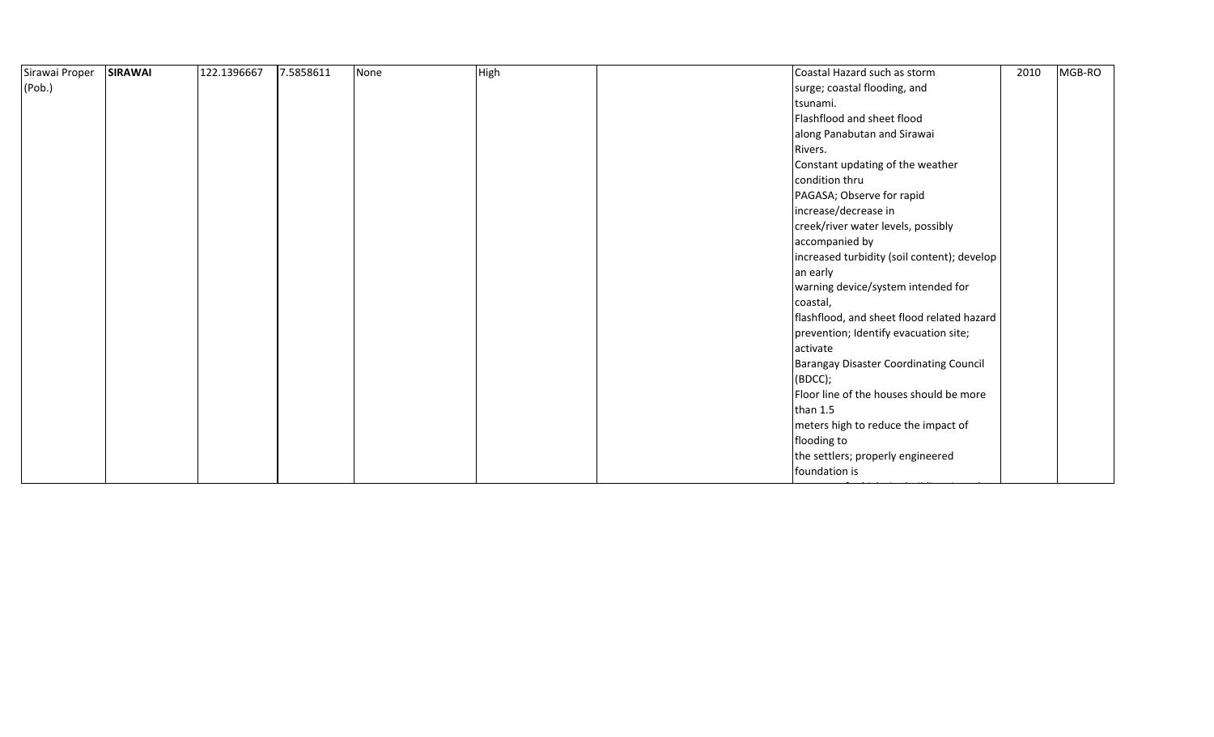| <b>SIRAWAI</b> | 122.1396667 | 7.5858611 | None | High | Coastal Hazard such as storm                  | 2010                                    | MGB-RO                                                                                    |
|----------------|-------------|-----------|------|------|-----------------------------------------------|-----------------------------------------|-------------------------------------------------------------------------------------------|
|                |             |           |      |      | surge; coastal flooding, and                  |                                         |                                                                                           |
|                |             |           |      |      | tsunami.                                      |                                         |                                                                                           |
|                |             |           |      |      | Flashflood and sheet flood                    |                                         |                                                                                           |
|                |             |           |      |      | along Panabutan and Sirawai                   |                                         |                                                                                           |
|                |             |           |      |      | Rivers.                                       |                                         |                                                                                           |
|                |             |           |      |      | Constant updating of the weather              |                                         |                                                                                           |
|                |             |           |      |      | condition thru                                |                                         |                                                                                           |
|                |             |           |      |      | PAGASA; Observe for rapid                     |                                         |                                                                                           |
|                |             |           |      |      | increase/decrease in                          |                                         |                                                                                           |
|                |             |           |      |      | creek/river water levels, possibly            |                                         |                                                                                           |
|                |             |           |      |      | accompanied by                                |                                         |                                                                                           |
|                |             |           |      |      |                                               |                                         |                                                                                           |
|                |             |           |      |      | an early                                      |                                         |                                                                                           |
|                |             |           |      |      | warning device/system intended for            |                                         |                                                                                           |
|                |             |           |      |      | coastal,                                      |                                         |                                                                                           |
|                |             |           |      |      |                                               |                                         |                                                                                           |
|                |             |           |      |      | prevention; Identify evacuation site;         |                                         |                                                                                           |
|                |             |           |      |      | activate                                      |                                         |                                                                                           |
|                |             |           |      |      | <b>Barangay Disaster Coordinating Council</b> |                                         |                                                                                           |
|                |             |           |      |      | (BOCC);                                       |                                         |                                                                                           |
|                |             |           |      |      |                                               |                                         |                                                                                           |
|                |             |           |      |      | than $1.5$                                    |                                         |                                                                                           |
|                |             |           |      |      | meters high to reduce the impact of           |                                         |                                                                                           |
|                |             |           |      |      | flooding to                                   |                                         |                                                                                           |
|                |             |           |      |      | the settlers; properly engineered             |                                         |                                                                                           |
|                |             |           |      |      | foundation is                                 |                                         |                                                                                           |
|                |             |           |      |      |                                               | Floor line of the houses should be more | increased turbidity (soil content); develop<br>flashflood, and sheet flood related hazard |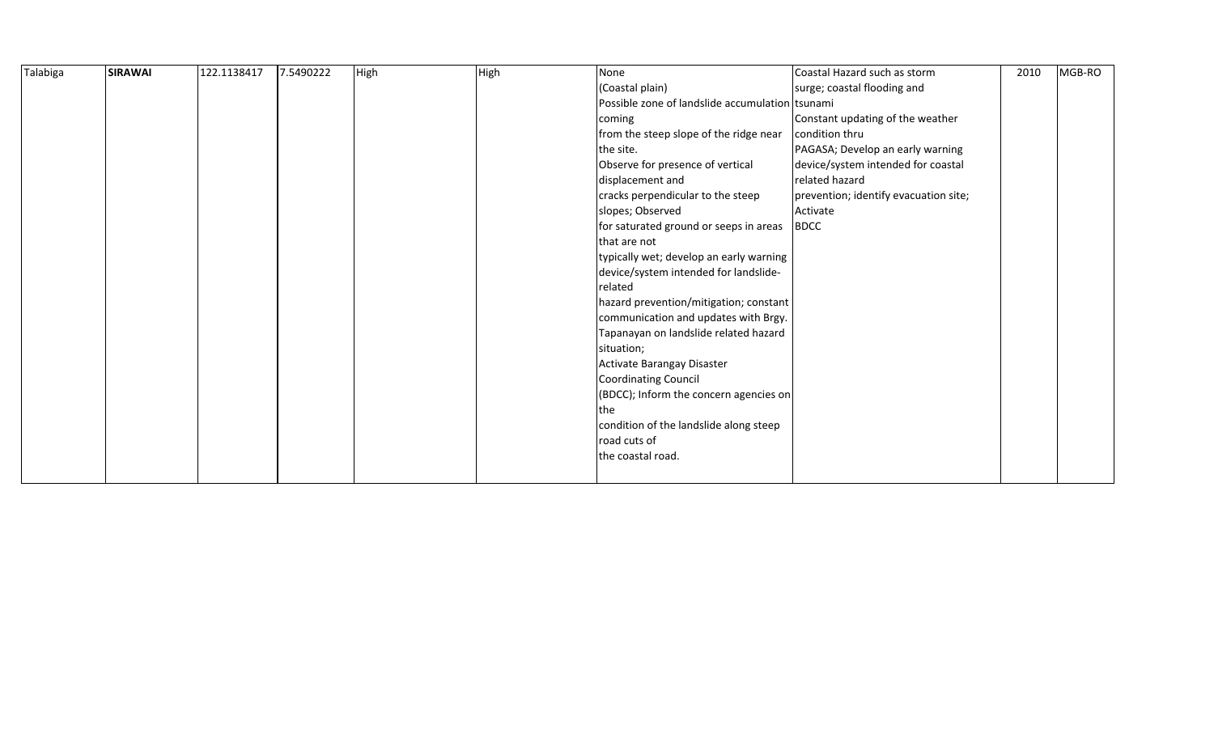| Talabiga | <b>SIRAWAI</b> | 122.1138417 | 7.5490222 | High | High | None                                            | Coastal Hazard such as storm          | 2010 | MGB-RO |
|----------|----------------|-------------|-----------|------|------|-------------------------------------------------|---------------------------------------|------|--------|
|          |                |             |           |      |      | (Coastal plain)                                 | surge; coastal flooding and           |      |        |
|          |                |             |           |      |      | Possible zone of landslide accumulation tsunami |                                       |      |        |
|          |                |             |           |      |      | coming                                          | Constant updating of the weather      |      |        |
|          |                |             |           |      |      | from the steep slope of the ridge near          | condition thru                        |      |        |
|          |                |             |           |      |      | the site.                                       | PAGASA; Develop an early warning      |      |        |
|          |                |             |           |      |      | Observe for presence of vertical                | device/system intended for coastal    |      |        |
|          |                |             |           |      |      | displacement and                                | related hazard                        |      |        |
|          |                |             |           |      |      | cracks perpendicular to the steep               | prevention; identify evacuation site; |      |        |
|          |                |             |           |      |      | slopes; Observed                                | Activate                              |      |        |
|          |                |             |           |      |      | for saturated ground or seeps in areas          | <b>BDCC</b>                           |      |        |
|          |                |             |           |      |      | that are not                                    |                                       |      |        |
|          |                |             |           |      |      | typically wet; develop an early warning         |                                       |      |        |
|          |                |             |           |      |      | device/system intended for landslide-           |                                       |      |        |
|          |                |             |           |      |      | related                                         |                                       |      |        |
|          |                |             |           |      |      | hazard prevention/mitigation; constant          |                                       |      |        |
|          |                |             |           |      |      | communication and updates with Brgy.            |                                       |      |        |
|          |                |             |           |      |      | Tapanayan on landslide related hazard           |                                       |      |        |
|          |                |             |           |      |      | situation;                                      |                                       |      |        |
|          |                |             |           |      |      | Activate Barangay Disaster                      |                                       |      |        |
|          |                |             |           |      |      | <b>Coordinating Council</b>                     |                                       |      |        |
|          |                |             |           |      |      | (BDCC); Inform the concern agencies on          |                                       |      |        |
|          |                |             |           |      |      | the                                             |                                       |      |        |
|          |                |             |           |      |      | condition of the landslide along steep          |                                       |      |        |
|          |                |             |           |      |      | road cuts of                                    |                                       |      |        |
|          |                |             |           |      |      | the coastal road.                               |                                       |      |        |
|          |                |             |           |      |      |                                                 |                                       |      |        |